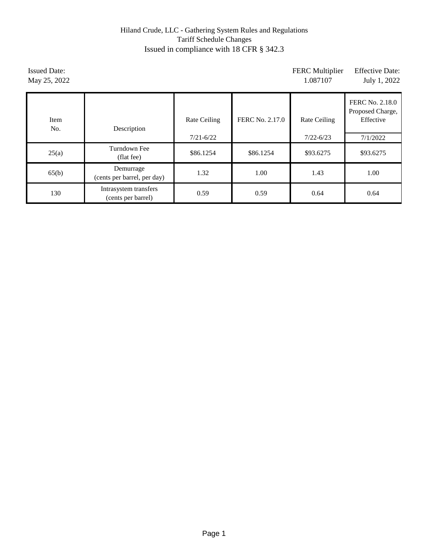# Hiland Crude, LLC - Gathering System Rules and Regulations Tariff Schedule Changes Issued in compliance with 18 CFR § 342.3

| <b>Issued Date:</b><br>May 25, 2022 |                                             |                               |                 | <b>FERC</b> Multiplier<br>1.087107 | <b>Effective Date:</b><br>July 1, 2022                       |
|-------------------------------------|---------------------------------------------|-------------------------------|-----------------|------------------------------------|--------------------------------------------------------------|
| Item<br>No.                         | Description                                 | Rate Ceiling<br>$7/21 - 6/22$ | FERC No. 2.17.0 | Rate Ceiling<br>$7/22 - 6/23$      | FERC No. 2.18.0<br>Proposed Charge,<br>Effective<br>7/1/2022 |
| 25(a)                               | Turndown Fee<br>(flat fee)                  | \$86.1254                     | \$86.1254       | \$93.6275                          | \$93.6275                                                    |
| 65(b)                               | Demurrage<br>(cents per barrel, per day)    | 1.32                          | 1.00            | 1.43                               | 1.00                                                         |
| 130                                 | Intrasystem transfers<br>(cents per barrel) | 0.59                          | 0.59            | 0.64                               | 0.64                                                         |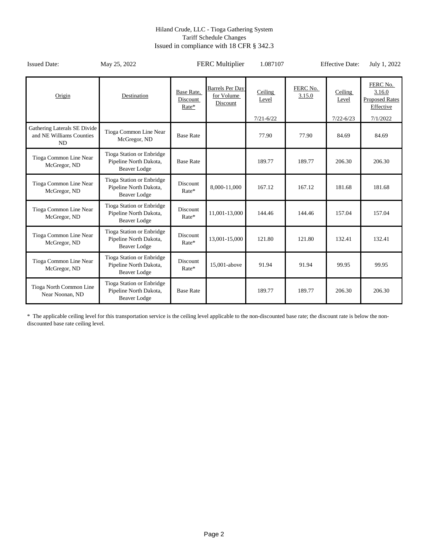#### Hiland Crude, LLC - Tioga Gathering System Tariff Schedule Changes Issued in compliance with 18 CFR § 342.3

| <b>Issued Date:</b>                                                   | May 25, 2022                                                               |                                   | <b>FERC Multiplier</b>                           | 1.087107                          |                    | <b>Effective Date:</b>            | July 1, 2022                                                         |
|-----------------------------------------------------------------------|----------------------------------------------------------------------------|-----------------------------------|--------------------------------------------------|-----------------------------------|--------------------|-----------------------------------|----------------------------------------------------------------------|
| Origin                                                                | Destination                                                                | Base Rate,<br>Discount<br>$Rate*$ | <b>Barrels Per Day</b><br>for Volume<br>Discount | Ceiling<br>Level<br>$7/21 - 6/22$ | FERC No.<br>3.15.0 | Ceiling<br>Level<br>$7/22 - 6/23$ | FERC No.<br>3.16.0<br><b>Proposed Rates</b><br>Effective<br>7/1/2022 |
| Gathering Laterals SE Divide<br>and NE Williams Counties<br><b>ND</b> | Tioga Common Line Near<br>McGregor, ND                                     | <b>Base Rate</b>                  |                                                  | 77.90                             | 77.90              | 84.69                             | 84.69                                                                |
| Tioga Common Line Near<br>McGregor, ND                                | Tioga Station or Enbridge<br>Pipeline North Dakota,<br><b>Beaver Lodge</b> | <b>Base Rate</b>                  |                                                  | 189.77                            | 189.77             | 206.30                            | 206.30                                                               |
| Tioga Common Line Near<br>McGregor, ND                                | Tioga Station or Enbridge<br>Pipeline North Dakota,<br><b>Beaver Lodge</b> | Discount<br>Rate*                 | 8,000-11,000                                     | 167.12                            | 167.12             | 181.68                            | 181.68                                                               |
| Tioga Common Line Near<br>McGregor, ND                                | Tioga Station or Enbridge<br>Pipeline North Dakota,<br><b>Beaver Lodge</b> | Discount<br>Rate*                 | 11,001-13,000                                    | 144.46                            | 144.46             | 157.04                            | 157.04                                                               |
| Tioga Common Line Near<br>McGregor, ND                                | Tioga Station or Enbridge<br>Pipeline North Dakota,<br><b>Beaver Lodge</b> | <b>Discount</b><br>$Rate*$        | 13,001-15,000                                    | 121.80                            | 121.80             | 132.41                            | 132.41                                                               |
| Tioga Common Line Near<br>McGregor, ND                                | Tioga Station or Enbridge<br>Pipeline North Dakota,<br><b>Beaver Lodge</b> | Discount<br>Rate*                 | 15,001-above                                     | 91.94                             | 91.94              | 99.95                             | 99.95                                                                |
| Tioga North Common Line<br>Near Noonan, ND                            | Tioga Station or Enbridge<br>Pipeline North Dakota,<br><b>Beaver Lodge</b> | <b>Base Rate</b>                  |                                                  | 189.77                            | 189.77             | 206.30                            | 206.30                                                               |

\* The applicable ceiling level for this transportation service is the ceiling level applicable to the non-discounted base rate; the discount rate is below the nondiscounted base rate ceiling level.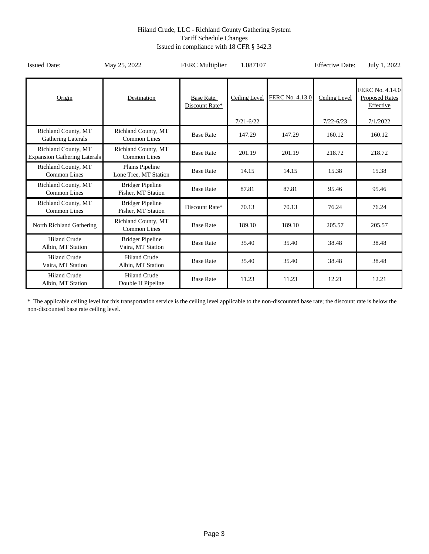#### Hiland Crude, LLC - Richland County Gathering System Tariff Schedule Changes Issued in compliance with 18 CFR § 342.3

| <b>Issued Date:</b>                                        | May 25, 2022                                  | <b>FERC</b> Multiplier       | 1.087107      |                 | <b>Effective Date:</b> | July 1, 2022                                          |
|------------------------------------------------------------|-----------------------------------------------|------------------------------|---------------|-----------------|------------------------|-------------------------------------------------------|
| Origin                                                     | Destination                                   | Base Rate.<br>Discount Rate* | Ceiling Level | FERC No. 4.13.0 | <b>Ceiling Level</b>   | FERC No. 4.14.0<br><b>Proposed Rates</b><br>Effective |
|                                                            |                                               |                              | $7/21 - 6/22$ |                 | $7/22 - 6/23$          | 7/1/2022                                              |
| <b>Richland County, MT</b><br><b>Gathering Laterals</b>    | Richland County, MT<br><b>Common Lines</b>    | <b>Base Rate</b>             | 147.29        | 147.29          | 160.12                 | 160.12                                                |
| Richland County, MT<br><b>Expansion Gathering Laterals</b> | Richland County, MT<br>Common Lines           | <b>Base Rate</b>             | 201.19        | 201.19          | 218.72                 | 218.72                                                |
| Richland County, MT<br>Common Lines                        | Plains Pipeline<br>Lone Tree, MT Station      | <b>Base Rate</b>             | 14.15         | 14.15           | 15.38                  | 15.38                                                 |
| Richland County, MT<br><b>Common Lines</b>                 | <b>Bridger Pipeline</b><br>Fisher, MT Station | <b>Base Rate</b>             | 87.81         | 87.81           | 95.46                  | 95.46                                                 |
| Richland County, MT<br><b>Common Lines</b>                 | <b>Bridger Pipeline</b><br>Fisher, MT Station | Discount Rate*               | 70.13         | 70.13           | 76.24                  | 76.24                                                 |
| North Richland Gathering                                   | Richland County, MT<br><b>Common Lines</b>    | <b>Base Rate</b>             | 189.10        | 189.10          | 205.57                 | 205.57                                                |
| <b>Hiland Crude</b><br>Albin, MT Station                   | <b>Bridger Pipeline</b><br>Vaira, MT Station  | <b>Base Rate</b>             | 35.40         | 35.40           | 38.48                  | 38.48                                                 |
| <b>Hiland Crude</b><br>Vaira, MT Station                   | <b>Hiland Crude</b><br>Albin, MT Station      | <b>Base Rate</b>             | 35.40         | 35.40           | 38.48                  | 38.48                                                 |
| <b>Hiland Crude</b><br>Albin, MT Station                   | <b>Hiland Crude</b><br>Double H Pipeline      | <b>Base Rate</b>             | 11.23         | 11.23           | 12.21                  | 12.21                                                 |

\* The applicable ceiling level for this transportation service is the ceiling level applicable to the non-discounted base rate; the discount rate is below the non-discounted base rate ceiling level.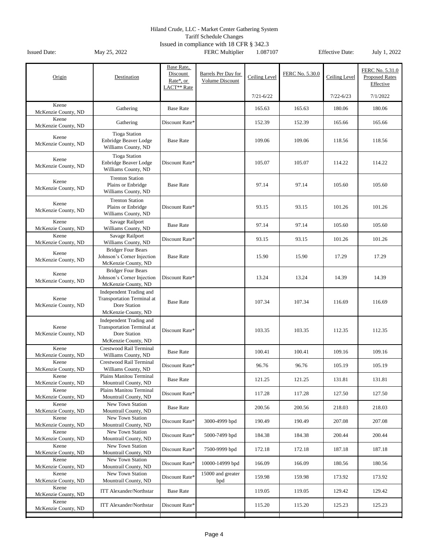Tariff Schedule Changes

| Origin                       | Destination                                                                                         | Base Rate,<br>Discount<br>Rate*, or<br>LACT <sup>**</sup> Rate | Barrels Per Day for<br>Volume Discount | Ceiling Level | FERC No. 5.30.0 | Ceiling Level | FERC No. 5.31.0<br><b>Proposed Rates</b><br>Effective |
|------------------------------|-----------------------------------------------------------------------------------------------------|----------------------------------------------------------------|----------------------------------------|---------------|-----------------|---------------|-------------------------------------------------------|
|                              |                                                                                                     |                                                                |                                        | $7/21 - 6/22$ |                 | $7/22 - 6/23$ | 7/1/2022                                              |
| Keene<br>McKenzie County, ND | Gathering                                                                                           | <b>Base Rate</b>                                               |                                        | 165.63        | 165.63          | 180.06        | 180.06                                                |
| Keene<br>McKenzie County, ND | Gathering                                                                                           | Discount Rate*                                                 |                                        | 152.39        | 152.39          | 165.66        | 165.66                                                |
| Keene<br>McKenzie County, ND | <b>Tioga Station</b><br>Enbridge Beaver Lodge<br>Williams County, ND                                | <b>Base Rate</b>                                               |                                        | 109.06        | 109.06          | 118.56        | 118.56                                                |
| Keene<br>McKenzie County, ND | <b>Tioga Station</b><br>Enbridge Beaver Lodge<br>Williams County, ND                                | Discount Rate*                                                 |                                        | 105.07        | 105.07          | 114.22        | 114.22                                                |
| Keene<br>McKenzie County, ND | <b>Trenton Station</b><br>Plains or Enbridge<br>Williams County, ND                                 | <b>Base Rate</b>                                               |                                        | 97.14         | 97.14           | 105.60        | 105.60                                                |
| Keene<br>McKenzie County, ND | <b>Trenton Station</b><br>Plains or Enbridge<br>Williams County, ND                                 | Discount Rate*                                                 |                                        | 93.15         | 93.15           | 101.26        | 101.26                                                |
| Keene<br>McKenzie County, ND | Savage Railport<br>Williams County, ND                                                              | <b>Base Rate</b>                                               |                                        | 97.14         | 97.14           | 105.60        | 105.60                                                |
| Keene<br>McKenzie County, ND | Savage Railport<br>Williams County, ND                                                              | Discount Rate*                                                 |                                        | 93.15         | 93.15           | 101.26        | 101.26                                                |
| Keene<br>McKenzie County, ND | <b>Bridger Four Bears</b><br>Johnson's Corner Injection<br>McKenzie County, ND                      | <b>Base Rate</b>                                               |                                        | 15.90         | 15.90           | 17.29         | 17.29                                                 |
| Keene<br>McKenzie County, ND | <b>Bridger Four Bears</b><br>Johnson's Corner Injection<br>McKenzie County, ND                      | Discount Rate*                                                 |                                        | 13.24         | 13.24           | 14.39         | 14.39                                                 |
| Keene<br>McKenzie County, ND | Independent Trading and<br><b>Transportation Terminal at</b><br>Dore Station<br>McKenzie County, ND | <b>Base Rate</b>                                               |                                        | 107.34        | 107.34          | 116.69        | 116.69                                                |
| Keene<br>McKenzie County, ND | Independent Trading and<br><b>Transportation Terminal at</b><br>Dore Station<br>McKenzie County, ND | Discount Rate*                                                 |                                        | 103.35        | 103.35          | 112.35        | 112.35                                                |
| Keene<br>McKenzie County, ND | Crestwood Rail Terminal<br>Williams County, ND                                                      | <b>Base Rate</b>                                               |                                        | 100.41        | 100.41          | 109.16        | 109.16                                                |
| Keene<br>McKenzie County, ND | Crestwood Rail Terminal<br>Williams County, ND                                                      | Discount Rate*                                                 |                                        | 96.76         | 96.76           | 105.19        | 105.19                                                |
| Keene<br>McKenzie County, ND | Plains Manitou Terminal<br>Mountrail County, ND                                                     | <b>Base Rate</b>                                               |                                        | 121.25        | 121.25          | 131.81        | 131.81                                                |
| Keene<br>McKenzie County, ND | Plains Manitou Terminal<br>Mountrail County, ND                                                     | Discount Rate*                                                 |                                        | 117.28        | 117.28          | 127.50        | 127.50                                                |
| Keene<br>McKenzie County, ND | New Town Station<br>Mountrail County, ND                                                            | <b>Base Rate</b>                                               |                                        | 200.56        | 200.56          | 218.03        | 218.03                                                |
| Keene<br>McKenzie County, ND | New Town Station<br>Mountrail County, ND                                                            | Discount Rate*                                                 | 3000-4999 bpd                          | 190.49        | 190.49          | 207.08        | 207.08                                                |
| Keene<br>McKenzie County, ND | New Town Station<br>Mountrail County, ND                                                            | Discount Rate*                                                 | 5000-7499 bpd                          | 184.38        | 184.38          | 200.44        | 200.44                                                |
| Keene<br>McKenzie County, ND | New Town Station<br>Mountrail County, ND                                                            | Discount Rate*                                                 | 7500-9999 bpd                          | 172.18        | 172.18          | 187.18        | 187.18                                                |
| Keene<br>McKenzie County, ND | New Town Station<br>Mountrail County, ND                                                            | Discount Rate*                                                 | 10000-14999 bpd                        | 166.09        | 166.09          | 180.56        | 180.56                                                |
| Keene<br>McKenzie County, ND | New Town Station<br>Mountrail County, ND                                                            | Discount Rate*                                                 | 15000 and greater<br>bpd               | 159.98        | 159.98          | 173.92        | 173.92                                                |
| Keene<br>McKenzie County, ND | <b>ITT Alexander/Northstar</b>                                                                      | <b>Base Rate</b>                                               |                                        | 119.05        | 119.05          | 129.42        | 129.42                                                |
| Keene<br>McKenzie County, ND | <b>ITT Alexander/Northstar</b>                                                                      | Discount Rate*                                                 |                                        | 115.20        | 115.20          | 125.23        | 125.23                                                |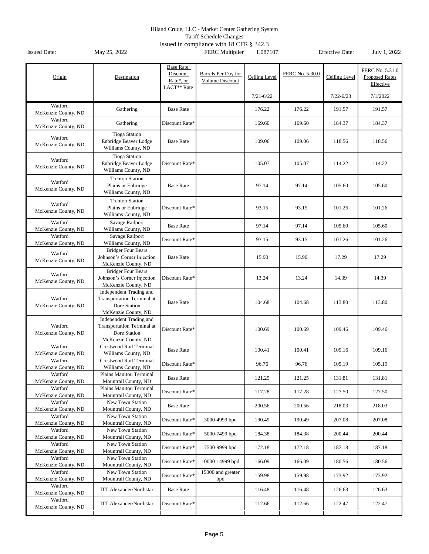Tariff Schedule Changes

| Origin                         | Destination                                                                                         | Base Rate,<br>Discount<br>Rate*, or<br>LACT** Rate | Barrels Per Day for<br><b>Volume Discount</b> | Ceiling Level | FERC No. 5.30.0 | Ceiling Level | FERC No. 5.31.0<br><b>Proposed Rates</b><br>Effective |
|--------------------------------|-----------------------------------------------------------------------------------------------------|----------------------------------------------------|-----------------------------------------------|---------------|-----------------|---------------|-------------------------------------------------------|
|                                |                                                                                                     |                                                    |                                               | $7/21 - 6/22$ |                 | $7/22 - 6/23$ | 7/1/2022                                              |
| Watford<br>McKenzie County, ND | Gathering                                                                                           | <b>Base Rate</b>                                   |                                               | 176.22        | 176.22          | 191.57        | 191.57                                                |
| Watford<br>McKenzie County, ND | Gathering                                                                                           | Discount Rate*                                     |                                               | 169.60        | 169.60          | 184.37        | 184.37                                                |
| Watford<br>McKenzie County, ND | <b>Tioga Station</b><br>Enbridge Beaver Lodge<br>Williams County, ND                                | <b>Base Rate</b>                                   |                                               | 109.06        | 109.06          | 118.56        | 118.56                                                |
| Watford<br>McKenzie County, ND | <b>Tioga Station</b><br>Enbridge Beaver Lodge<br>Williams County, ND                                | Discount Rate*                                     |                                               | 105.07        | 105.07          | 114.22        | 114.22                                                |
| Watford<br>McKenzie County, ND | <b>Trenton Station</b><br>Plains or Enbridge<br>Williams County, ND                                 | <b>Base Rate</b>                                   |                                               | 97.14         | 97.14           | 105.60        | 105.60                                                |
| Watford<br>McKenzie County, ND | <b>Trenton Station</b><br>Plains or Enbridge<br>Williams County, ND                                 | Discount Rate*                                     |                                               | 93.15         | 93.15           | 101.26        | 101.26                                                |
| Watford<br>McKenzie County, ND | Savage Railport<br>Williams County, ND                                                              | <b>Base Rate</b>                                   |                                               | 97.14         | 97.14           | 105.60        | 105.60                                                |
| Watford<br>McKenzie County, ND | Savage Railport<br>Williams County, ND                                                              | Discount Rate*                                     |                                               | 93.15         | 93.15           | 101.26        | 101.26                                                |
| Watford<br>McKenzie County, ND | <b>Bridger Four Bears</b><br>Johnson's Corner Injection<br>McKenzie County, ND                      | <b>Base Rate</b>                                   |                                               | 15.90         | 15.90           | 17.29         | 17.29                                                 |
| Watford<br>McKenzie County, ND | <b>Bridger Four Bears</b><br>Johnson's Corner Injection<br>McKenzie County, ND                      | Discount Rate*                                     |                                               | 13.24         | 13.24           | 14.39         | 14.39                                                 |
| Watford<br>McKenzie County, ND | Independent Trading and<br><b>Transportation Terminal at</b><br>Dore Station<br>McKenzie County, ND | <b>Base Rate</b>                                   |                                               | 104.68        | 104.68          | 113.80        | 113.80                                                |
| Watford<br>McKenzie County, ND | Independent Trading and<br><b>Transportation Terminal at</b><br>Dore Station<br>McKenzie County, ND | Discount Rate*                                     |                                               | 100.69        | 100.69          | 109.46        | 109.46                                                |
| Watford<br>McKenzie County, ND | Crestwood Rail Terminal<br>Williams County, ND                                                      | <b>Base Rate</b>                                   |                                               | 100.41        | 100.41          | 109.16        | 109.16                                                |
| Watford<br>McKenzie County, ND | <b>Crestwood Rail Terminal</b><br>Williams County, ND                                               | Discount Rate*                                     |                                               | 96.76         | 96.76           | 105.19        | 105.19                                                |
| Watford<br>McKenzie County, ND | Plains Manitou Terminal<br>Mountrail County, ND                                                     | <b>Base Rate</b>                                   |                                               | 121.25        | 121.25          | 131.81        | 131.81                                                |
| Watford<br>McKenzie County, ND | Plains Manitou Terminal<br>Mountrail County, ND                                                     | Discount Rate*                                     |                                               | 117.28        | 117.28          | 127.50        | 127.50                                                |
| Watford<br>McKenzie County, ND | New Town Station<br>Mountrail County, ND                                                            | <b>Base Rate</b>                                   |                                               | 200.56        | 200.56          | 218.03        | 218.03                                                |
| Watford<br>McKenzie County, ND | New Town Station<br>Mountrail County, ND                                                            | Discount Rate*                                     | 3000-4999 bpd                                 | 190.49        | 190.49          | 207.08        | 207.08                                                |
| Watford<br>McKenzie County, ND | New Town Station<br>Mountrail County, ND                                                            | Discount Rate*                                     | 5000-7499 bpd                                 | 184.38        | 184.38          | 200.44        | 200.44                                                |
| Watford<br>McKenzie County, ND | New Town Station<br>Mountrail County, ND                                                            | Discount Rate*                                     | 7500-9999 bpd                                 | 172.18        | 172.18          | 187.18        | 187.18                                                |
| Watford<br>McKenzie County, ND | New Town Station<br>Mountrail County, ND                                                            | Discount Rate*                                     | 10000-14999 bpd                               | 166.09        | 166.09          | 180.56        | 180.56                                                |
| Watford<br>McKenzie County, ND | New Town Station<br>Mountrail County, ND                                                            | Discount Rate*                                     | 15000 and greater<br>bpd                      | 159.98        | 159.98          | 173.92        | 173.92                                                |
| Watford<br>McKenzie County, ND | <b>ITT Alexander/Northstar</b>                                                                      | <b>Base Rate</b>                                   |                                               | 116.48        | 116.48          | 126.63        | 126.63                                                |
| Watford<br>McKenzie County, ND | <b>ITT Alexander/Northstar</b>                                                                      | Discount Rate*                                     |                                               | 112.66        | 112.66          | 122.47        | 122.47                                                |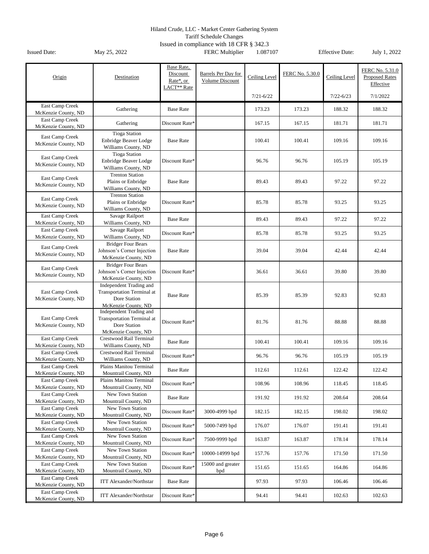Tariff Schedule Changes

|                                        |                                                                                              | Base Rate,                                       |                                        |               |                 |               |                                                       |
|----------------------------------------|----------------------------------------------------------------------------------------------|--------------------------------------------------|----------------------------------------|---------------|-----------------|---------------|-------------------------------------------------------|
| Origin                                 | Destination                                                                                  | Discount<br>Rate*, or<br>LACT <sup>**</sup> Rate | Barrels Per Day for<br>Volume Discount | Ceiling Level | FERC No. 5.30.0 | Ceiling Level | FERC No. 5.31.0<br><b>Proposed Rates</b><br>Effective |
|                                        |                                                                                              |                                                  |                                        | $7/21 - 6/22$ |                 | $7/22 - 6/23$ | 7/1/2022                                              |
| East Camp Creek<br>McKenzie County, ND | Gathering                                                                                    | <b>Base Rate</b>                                 |                                        | 173.23        | 173.23          | 188.32        | 188.32                                                |
| East Camp Creek<br>McKenzie County, ND | Gathering                                                                                    | Discount Rate*                                   |                                        | 167.15        | 167.15          | 181.71        | 181.71                                                |
| East Camp Creek<br>McKenzie County, ND | <b>Tioga Station</b><br>Enbridge Beaver Lodge<br>Williams County, ND                         | <b>Base Rate</b>                                 |                                        | 100.41        | 100.41          | 109.16        | 109.16                                                |
| East Camp Creek<br>McKenzie County, ND | <b>Tioga Station</b><br>Enbridge Beaver Lodge<br>Williams County, ND                         | Discount Rate*                                   |                                        | 96.76         | 96.76           | 105.19        | 105.19                                                |
| East Camp Creek<br>McKenzie County, ND | <b>Trenton Station</b><br>Plains or Enbridge<br>Williams County, ND                          | <b>Base Rate</b>                                 |                                        | 89.43         | 89.43           | 97.22         | 97.22                                                 |
| East Camp Creek<br>McKenzie County, ND | <b>Trenton Station</b><br>Plains or Enbridge<br>Williams County, ND                          | Discount Rate*                                   |                                        | 85.78         | 85.78           | 93.25         | 93.25                                                 |
| East Camp Creek<br>McKenzie County, ND | Savage Railport<br>Williams County, ND                                                       | <b>Base Rate</b>                                 |                                        | 89.43         | 89.43           | 97.22         | 97.22                                                 |
| East Camp Creek<br>McKenzie County, ND | Savage Railport<br>Williams County, ND                                                       | Discount Rate*                                   |                                        | 85.78         | 85.78           | 93.25         | 93.25                                                 |
| East Camp Creek<br>McKenzie County, ND | <b>Bridger Four Bears</b><br>Johnson's Corner Injection<br>McKenzie County, ND               | <b>Base Rate</b>                                 |                                        | 39.04         | 39.04           | 42.44         | 42.44                                                 |
| East Camp Creek<br>McKenzie County, ND | <b>Bridger Four Bears</b><br>Johnson's Corner Injection<br>McKenzie County, ND               | Discount Rate*                                   |                                        | 36.61         | 36.61           | 39.80         | 39.80                                                 |
| East Camp Creek<br>McKenzie County, ND | Independent Trading and<br>Transportation Terminal at<br>Dore Station<br>McKenzie County, ND | <b>Base Rate</b>                                 |                                        | 85.39         | 85.39           | 92.83         | 92.83                                                 |
| East Camp Creek<br>McKenzie County, ND | Independent Trading and<br>Transportation Terminal at<br>Dore Station<br>McKenzie County, ND | Discount Rate*                                   |                                        | 81.76         | 81.76           | 88.88         | 88.88                                                 |
| East Camp Creek<br>McKenzie County, ND | Crestwood Rail Terminal<br>Williams County, ND                                               | <b>Base Rate</b>                                 |                                        | 100.41        | 100.41          | 109.16        | 109.16                                                |
| East Camp Creek<br>McKenzie County, ND | Crestwood Rail Terminal<br>Williams County, ND                                               | Discount Rate*                                   |                                        | 96.76         | 96.76           | 105.19        | 105.19                                                |
| East Camp Creek<br>McKenzie County, ND | Plains Manitou Terminal<br>Mountrail County, ND                                              | <b>Base Rate</b>                                 |                                        | 112.61        | 112.61          | 122.42        | 122.42                                                |
| East Camp Creek<br>McKenzie County, ND | Plains Manitou Terminal<br>Mountrail County, ND                                              | Discount Rate*                                   |                                        | 108.96        | 108.96          | 118.45        | 118.45                                                |
| East Camp Creek<br>McKenzie County, ND | New Town Station<br>Mountrail County, ND                                                     | <b>Base Rate</b>                                 |                                        | 191.92        | 191.92          | 208.64        | 208.64                                                |
| East Camp Creek<br>McKenzie County, ND | New Town Station<br>Mountrail County, ND                                                     | Discount Rate*                                   | 3000-4999 bpd                          | 182.15        | 182.15          | 198.02        | 198.02                                                |
| East Camp Creek<br>McKenzie County, ND | New Town Station<br>Mountrail County, ND                                                     | Discount Rate*                                   | 5000-7499 bpd                          | 176.07        | 176.07          | 191.41        | 191.41                                                |
| East Camp Creek<br>McKenzie County, ND | New Town Station<br>Mountrail County, ND                                                     | Discount Rate*                                   | 7500-9999 bpd                          | 163.87        | 163.87          | 178.14        | 178.14                                                |
| East Camp Creek<br>McKenzie County, ND | New Town Station<br>Mountrail County, ND                                                     | Discount Rate*                                   | 10000-14999 bpd                        | 157.76        | 157.76          | 171.50        | 171.50                                                |
| East Camp Creek<br>McKenzie County, ND | New Town Station<br>Mountrail County, ND                                                     | Discount Rate*                                   | 15000 and greater<br>bpd               | 151.65        | 151.65          | 164.86        | 164.86                                                |
| East Camp Creek<br>McKenzie County, ND | <b>ITT Alexander/Northstar</b>                                                               | <b>Base Rate</b>                                 |                                        | 97.93         | 97.93           | 106.46        | 106.46                                                |
| East Camp Creek<br>McKenzie County, ND | <b>ITT Alexander/Northstar</b>                                                               | Discount Rate*                                   |                                        | 94.41         | 94.41           | 102.63        | 102.63                                                |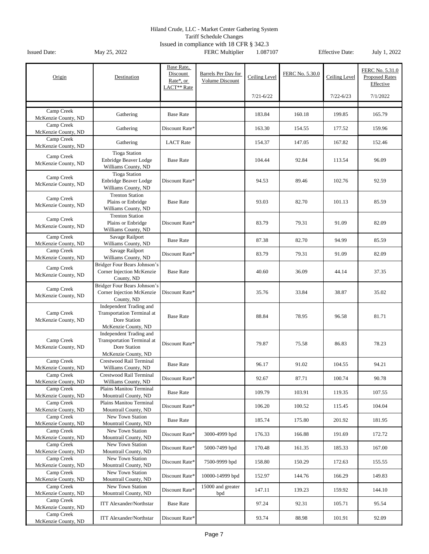Tariff Schedule Changes

| Origin                            | Destination                                                                                         | Base Rate,<br>Discount<br>Rate*, or<br>LACT <sup>**</sup> Rate | Barrels Per Day for<br><b>Volume Discount</b> | Ceiling Level | FERC No. 5.30.0 | Ceiling Level | FERC No. 5.31.0<br><b>Proposed Rates</b><br>Effective |
|-----------------------------------|-----------------------------------------------------------------------------------------------------|----------------------------------------------------------------|-----------------------------------------------|---------------|-----------------|---------------|-------------------------------------------------------|
|                                   |                                                                                                     |                                                                |                                               | $7/21 - 6/22$ |                 | $7/22 - 6/23$ | 7/1/2022                                              |
|                                   |                                                                                                     |                                                                |                                               |               |                 |               |                                                       |
| Camp Creek<br>McKenzie County, ND | Gathering                                                                                           | <b>Base Rate</b>                                               |                                               | 183.84        | 160.18          | 199.85        | 165.79                                                |
| Camp Creek<br>McKenzie County, ND | Gathering                                                                                           | Discount Rate*                                                 |                                               | 163.30        | 154.55          | 177.52        | 159.96                                                |
| Camp Creek<br>McKenzie County, ND | Gathering                                                                                           | <b>LACT</b> Rate                                               |                                               | 154.37        | 147.05          | 167.82        | 152.46                                                |
| Camp Creek<br>McKenzie County, ND | <b>Tioga Station</b><br>Enbridge Beaver Lodge<br>Williams County, ND                                | <b>Base Rate</b>                                               |                                               | 104.44        | 92.84           | 113.54        | 96.09                                                 |
| Camp Creek<br>McKenzie County, ND | <b>Tioga Station</b><br>Enbridge Beaver Lodge<br>Williams County, ND                                | Discount Rate*                                                 |                                               | 94.53         | 89.46           | 102.76        | 92.59                                                 |
| Camp Creek<br>McKenzie County, ND | <b>Trenton Station</b><br>Plains or Enbridge<br>Williams County, ND                                 | <b>Base Rate</b>                                               |                                               | 93.03         | 82.70           | 101.13        | 85.59                                                 |
| Camp Creek<br>McKenzie County, ND | <b>Trenton Station</b><br>Plains or Enbridge<br>Williams County, ND                                 | Discount Rate*                                                 |                                               | 83.79         | 79.31           | 91.09         | 82.09                                                 |
| Camp Creek<br>McKenzie County, ND | Savage Railport<br>Williams County, ND                                                              | <b>Base Rate</b>                                               |                                               | 87.38         | 82.70           | 94.99         | 85.59                                                 |
| Camp Creek<br>McKenzie County, ND | Savage Railport<br>Williams County, ND                                                              | Discount Rate*                                                 |                                               | 83.79         | 79.31           | 91.09         | 82.09                                                 |
| Camp Creek<br>McKenzie County, ND | Bridger Four Bears Johnson's<br>Corner Injection McKenzie<br>County, ND                             | <b>Base Rate</b>                                               |                                               | 40.60         | 36.09           | 44.14         | 37.35                                                 |
| Camp Creek<br>McKenzie County, ND | Bridger Four Bears Johnson's<br>Corner Injection McKenzie<br>County, ND                             | Discount Rate*                                                 |                                               | 35.76         | 33.84           | 38.87         | 35.02                                                 |
| Camp Creek<br>McKenzie County, ND | Independent Trading and<br><b>Transportation Terminal at</b><br>Dore Station<br>McKenzie County, ND | <b>Base Rate</b>                                               |                                               | 88.84         | 78.95           | 96.58         | 81.71                                                 |
| Camp Creek<br>McKenzie County, ND | Independent Trading and<br><b>Transportation Terminal at</b><br>Dore Station<br>McKenzie County, ND | Discount Rate*                                                 |                                               | 79.87         | 75.58           | 86.83         | 78.23                                                 |
| Camp Creek<br>McKenzie County, ND | Crestwood Rail Terminal<br>Williams County, ND                                                      | <b>Base Rate</b>                                               |                                               | 96.17         | 91.02           | 104.55        | 94.21                                                 |
| Camp Creek<br>McKenzie County, ND | Crestwood Rail Terminal<br>Williams County, ND                                                      | Discount Rate*                                                 |                                               | 92.67         | 87.71           | 100.74        | 90.78                                                 |
| Camp Creek<br>McKenzie County, ND | Plains Manitou Terminal<br>Mountrail County, ND                                                     | <b>Base Rate</b>                                               |                                               | 109.79        | 103.91          | 119.35        | 107.55                                                |
| Camp Creek<br>McKenzie County, ND | Plains Manitou Terminal<br>Mountrail County, ND                                                     | Discount Rate*                                                 |                                               | 106.20        | 100.52          | 115.45        | 104.04                                                |
| Camp Creek<br>McKenzie County, ND | New Town Station<br>Mountrail County, ND                                                            | <b>Base Rate</b>                                               |                                               | 185.74        | 175.80          | 201.92        | 181.95                                                |
| Camp Creek<br>McKenzie County, ND | New Town Station<br>Mountrail County, ND                                                            | Discount Rate*                                                 | 3000-4999 bpd                                 | 176.33        | 166.88          | 191.69        | 172.72                                                |
| Camp Creek<br>McKenzie County, ND | New Town Station<br>Mountrail County, ND                                                            | Discount Rate*                                                 | 5000-7499 bpd                                 | 170.48        | 161.35          | 185.33        | 167.00                                                |
| Camp Creek<br>McKenzie County, ND | New Town Station<br>Mountrail County, ND                                                            | Discount Rate*                                                 | 7500-9999 bpd                                 | 158.80        | 150.29          | 172.63        | 155.55                                                |
| Camp Creek<br>McKenzie County, ND | New Town Station<br>Mountrail County, ND                                                            | Discount Rate*                                                 | 10000-14999 bpd                               | 152.97        | 144.76          | 166.29        | 149.83                                                |
| Camp Creek<br>McKenzie County, ND | New Town Station<br>Mountrail County, ND                                                            | Discount Rate*                                                 | 15000 and greater<br>bpd                      | 147.11        | 139.23          | 159.92        | 144.10                                                |
| Camp Creek<br>McKenzie County, ND | <b>ITT Alexander/Northstar</b>                                                                      | <b>Base Rate</b>                                               |                                               | 97.24         | 92.31           | 105.71        | 95.54                                                 |
| Camp Creek<br>McKenzie County, ND | <b>ITT Alexander/Northstar</b>                                                                      | Discount Rate*                                                 |                                               | 93.74         | 88.98           | 101.91        | 92.09                                                 |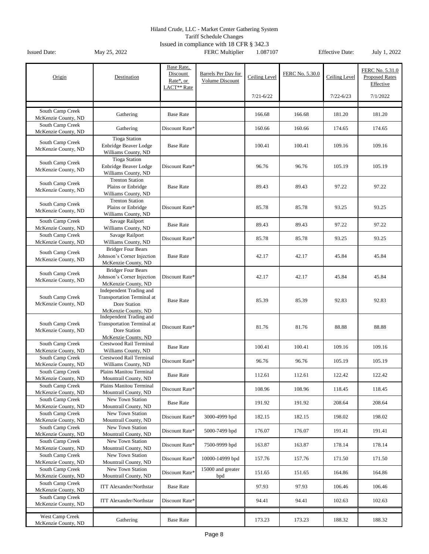Tariff Schedule Changes

|                                         |                                                                                                     | Base Rate,              |                                        |               |                 |               | FERC No. 5.31.0                    |
|-----------------------------------------|-----------------------------------------------------------------------------------------------------|-------------------------|----------------------------------------|---------------|-----------------|---------------|------------------------------------|
| Origin                                  | Destination                                                                                         | Discount<br>Rate*, or   | Barrels Per Day for<br>Volume Discount | Ceiling Level | FERC No. 5.30.0 | Ceiling Level | <b>Proposed Rates</b><br>Effective |
|                                         |                                                                                                     | LACT <sup>**</sup> Rate |                                        | $7/21 - 6/22$ |                 | $7/22 - 6/23$ | 7/1/2022                           |
|                                         |                                                                                                     |                         |                                        |               |                 |               |                                    |
| South Camp Creek<br>McKenzie County, ND | Gathering                                                                                           | <b>Base Rate</b>        |                                        | 166.68        | 166.68          | 181.20        | 181.20                             |
| South Camp Creek<br>McKenzie County, ND | Gathering                                                                                           | Discount Rate*          |                                        | 160.66        | 160.66          | 174.65        | 174.65                             |
| South Camp Creek<br>McKenzie County, ND | <b>Tioga Station</b><br><b>Enbridge Beaver Lodge</b><br>Williams County, ND                         | <b>Base Rate</b>        |                                        | 100.41        | 100.41          | 109.16        | 109.16                             |
| South Camp Creek<br>McKenzie County, ND | <b>Tioga Station</b><br>Enbridge Beaver Lodge<br>Williams County, ND                                | Discount Rate*          |                                        | 96.76         | 96.76           | 105.19        | 105.19                             |
| South Camp Creek<br>McKenzie County, ND | <b>Trenton Station</b><br>Plains or Enbridge<br>Williams County, ND                                 | <b>Base Rate</b>        |                                        | 89.43         | 89.43           | 97.22         | 97.22                              |
| South Camp Creek<br>McKenzie County, ND | <b>Trenton Station</b><br>Plains or Enbridge<br>Williams County, ND                                 | Discount Rate*          |                                        | 85.78         | 85.78           | 93.25         | 93.25                              |
| South Camp Creek<br>McKenzie County, ND | Savage Railport<br>Williams County, ND                                                              | <b>Base Rate</b>        |                                        | 89.43         | 89.43           | 97.22         | 97.22                              |
| South Camp Creek<br>McKenzie County, ND | Savage Railport<br>Williams County, ND                                                              | Discount Rate*          |                                        | 85.78         | 85.78           | 93.25         | 93.25                              |
| South Camp Creek<br>McKenzie County, ND | <b>Bridger Four Bears</b><br>Johnson's Corner Injection<br>McKenzie County, ND                      | <b>Base Rate</b>        |                                        | 42.17         | 42.17           | 45.84         | 45.84                              |
| South Camp Creek<br>McKenzie County, ND | <b>Bridger Four Bears</b><br>Johnson's Corner Injection<br>McKenzie County, ND                      | Discount Rate*          |                                        | 42.17         | 42.17           | 45.84         | 45.84                              |
| South Camp Creek<br>McKenzie County, ND | Independent Trading and<br><b>Transportation Terminal at</b><br>Dore Station<br>McKenzie County, ND | <b>Base Rate</b>        |                                        | 85.39         | 85.39           | 92.83         | 92.83                              |
| South Camp Creek<br>McKenzie County, ND | Independent Trading and<br><b>Transportation Terminal at</b><br>Dore Station<br>McKenzie County, ND | Discount Rate*          |                                        | 81.76         | 81.76           | 88.88         | 88.88                              |
| South Camp Creek<br>McKenzie County, ND | Crestwood Rail Terminal<br>Williams County, ND                                                      | <b>Base Rate</b>        |                                        | 100.41        | 100.41          | 109.16        | 109.16                             |
| South Camp Creek<br>McKenzie County, ND | Crestwood Rail Terminal<br>Williams County, ND                                                      | Discount Rate*          |                                        | 96.76         | 96.76           | 105.19        | 105.19                             |
| South Camp Creek<br>McKenzie County, ND | Plains Manitou Terminal<br>Mountrail County, ND                                                     | <b>Base Rate</b>        |                                        | 112.61        | 112.61          | 122.42        | 122.42                             |
| South Camp Creek<br>McKenzie County, ND | Plains Manitou Terminal<br>Mountrail County, ND                                                     | Discount Rate*          |                                        | 108.96        | 108.96          | 118.45        | 118.45                             |
| South Camp Creek<br>McKenzie County, ND | New Town Station<br>Mountrail County, ND                                                            | <b>Base Rate</b>        |                                        | 191.92        | 191.92          | 208.64        | 208.64                             |
| South Camp Creek<br>McKenzie County, ND | New Town Station<br>Mountrail County, ND                                                            | Discount Rate*          | 3000-4999 bpd                          | 182.15        | 182.15          | 198.02        | 198.02                             |
| South Camp Creek<br>McKenzie County, ND | New Town Station<br>Mountrail County, ND                                                            | Discount Rate*          | 5000-7499 bpd                          | 176.07        | 176.07          | 191.41        | 191.41                             |
| South Camp Creek                        | New Town Station                                                                                    | Discount Rate*          | 7500-9999 bpd                          | 163.87        | 163.87          | 178.14        | 178.14                             |
| McKenzie County, ND<br>South Camp Creek | Mountrail County, ND<br>New Town Station                                                            | Discount Rate*          | 10000-14999 bpd                        | 157.76        | 157.76          | 171.50        | 171.50                             |
| McKenzie County, ND<br>South Camp Creek | Mountrail County, ND<br>New Town Station                                                            | Discount Rate*          | 15000 and greater                      | 151.65        | 151.65          | 164.86        | 164.86                             |
| McKenzie County, ND<br>South Camp Creek | Mountrail County, ND<br><b>ITT Alexander/Northstar</b>                                              | <b>Base Rate</b>        | bpd                                    | 97.93         | 97.93           | 106.46        | 106.46                             |
| McKenzie County, ND<br>South Camp Creek |                                                                                                     |                         |                                        |               |                 |               |                                    |
| McKenzie County, ND                     | <b>ITT Alexander/Northstar</b>                                                                      | Discount Rate*          |                                        | 94.41         | 94.41           | 102.63        | 102.63                             |
| West Camp Creek<br>McKenzie County, ND  | Gathering                                                                                           | <b>Base Rate</b>        |                                        | 173.23        | 173.23          | 188.32        | 188.32                             |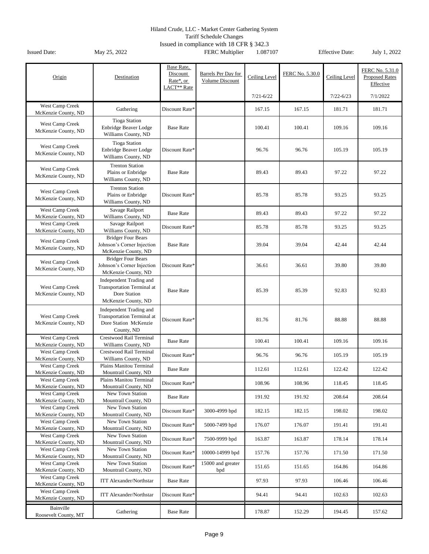Tariff Schedule Changes

| Origin                                        | Destination                                                                                         | Base Rate,<br>Discount<br>Rate*, or<br>LACT** Rate | Barrels Per Day for<br>Volume Discount | Ceiling Level | FERC No. 5.30.0 | Ceiling Level | FERC No. 5.31.0<br><b>Proposed Rates</b><br>Effective |
|-----------------------------------------------|-----------------------------------------------------------------------------------------------------|----------------------------------------------------|----------------------------------------|---------------|-----------------|---------------|-------------------------------------------------------|
|                                               |                                                                                                     |                                                    |                                        | $7/21 - 6/22$ |                 | $7/22 - 6/23$ | 7/1/2022                                              |
| West Camp Creek<br>McKenzie County, ND        | Gathering                                                                                           | Discount Rate*                                     |                                        | 167.15        | 167.15          | 181.71        | 181.71                                                |
| West Camp Creek<br>McKenzie County, ND        | <b>Tioga Station</b><br>Enbridge Beaver Lodge<br>Williams County, ND                                | <b>Base Rate</b>                                   |                                        | 100.41        | 100.41          | 109.16        | 109.16                                                |
| West Camp Creek<br>McKenzie County, ND        | <b>Tioga Station</b><br>Enbridge Beaver Lodge<br>Williams County, ND                                | Discount Rate*                                     |                                        | 96.76         | 96.76           | 105.19        | 105.19                                                |
| West Camp Creek<br>McKenzie County, ND        | <b>Trenton Station</b><br>Plains or Enbridge<br>Williams County, ND                                 | <b>Base Rate</b>                                   |                                        | 89.43         | 89.43           | 97.22         | 97.22                                                 |
| West Camp Creek<br>McKenzie County, ND        | <b>Trenton Station</b><br>Plains or Enbridge<br>Williams County, ND                                 | Discount Rate*                                     |                                        | 85.78         | 85.78           | 93.25         | 93.25                                                 |
| West Camp Creek<br>McKenzie County, ND        | Savage Railport<br>Williams County, ND                                                              | <b>Base Rate</b>                                   |                                        | 89.43         | 89.43           | 97.22         | 97.22                                                 |
| West Camp Creek<br>McKenzie County, ND        | Savage Railport<br>Williams County, ND                                                              | Discount Rate*                                     |                                        | 85.78         | 85.78           | 93.25         | 93.25                                                 |
| West Camp Creek<br>McKenzie County, ND        | <b>Bridger Four Bears</b><br>Johnson's Corner Injection<br>McKenzie County, ND                      | <b>Base Rate</b>                                   |                                        | 39.04         | 39.04           | 42.44         | 42.44                                                 |
| West Camp Creek<br>McKenzie County, ND        | <b>Bridger Four Bears</b><br>Johnson's Corner Injection<br>McKenzie County, ND                      | Discount Rate*                                     |                                        | 36.61         | 36.61           | 39.80         | 39.80                                                 |
| West Camp Creek<br>McKenzie County, ND        | Independent Trading and<br><b>Transportation Terminal at</b><br>Dore Station<br>McKenzie County, ND | <b>Base Rate</b>                                   |                                        | 85.39         | 85.39           | 92.83         | 92.83                                                 |
| West Camp Creek<br>McKenzie County, ND        | Independent Trading and<br><b>Transportation Terminal at</b><br>Dore Station McKenzie<br>County, ND | Discount Rate*                                     |                                        | 81.76         | 81.76           | 88.88         | 88.88                                                 |
| West Camp Creek<br>McKenzie County, ND        | Crestwood Rail Terminal<br>Williams County, ND                                                      | <b>Base Rate</b>                                   |                                        | 100.41        | 100.41          | 109.16        | 109.16                                                |
| West Camp Creek<br>McKenzie County, ND        | Crestwood Rail Terminal<br>Williams County, ND                                                      | Discount Rate*                                     |                                        | 96.76         | 96.76           | 105.19        | 105.19                                                |
| <b>West Camp Creek</b><br>McKenzie County, ND | Plains Manitou Terminal<br>Mountrail County, ND                                                     | <b>Base Rate</b>                                   |                                        | 112.61        | 112.61          | 122.42        | 122.42                                                |
| West Camp Creek<br>McKenzie County, ND        | Plains Manitou Terminal<br>Mountrail County, ND                                                     | Discount Rate*                                     |                                        | 108.96        | 108.96          | 118.45        | 118.45                                                |
| West Camp Creek<br>McKenzie County, ND        | New Town Station<br>Mountrail County, ND                                                            | <b>Base Rate</b>                                   |                                        | 191.92        | 191.92          | 208.64        | 208.64                                                |
| West Camp Creek<br>McKenzie County, ND        | New Town Station<br>Mountrail County, ND                                                            | Discount Rate*                                     | 3000-4999 bpd                          | 182.15        | 182.15          | 198.02        | 198.02                                                |
| West Camp Creek<br>McKenzie County, ND        | New Town Station<br>Mountrail County, ND                                                            | Discount Rate*                                     | 5000-7499 bpd                          | 176.07        | 176.07          | 191.41        | 191.41                                                |
| West Camp Creek<br>McKenzie County, ND        | New Town Station<br>Mountrail County, ND                                                            | Discount Rate*                                     | 7500-9999 bpd                          | 163.87        | 163.87          | 178.14        | 178.14                                                |
| West Camp Creek<br>McKenzie County, ND        | New Town Station<br>Mountrail County, ND                                                            | Discount Rate*                                     | 10000-14999 bpd                        | 157.76        | 157.76          | 171.50        | 171.50                                                |
| West Camp Creek<br>McKenzie County, ND        | New Town Station<br>Mountrail County, ND                                                            | Discount Rate*                                     | 15000 and greater<br>bpd               | 151.65        | 151.65          | 164.86        | 164.86                                                |
| West Camp Creek<br>McKenzie County, ND        | <b>ITT Alexander/Northstar</b>                                                                      | <b>Base Rate</b>                                   |                                        | 97.93         | 97.93           | 106.46        | 106.46                                                |
| West Camp Creek<br>McKenzie County, ND        | <b>ITT Alexander/Northstar</b>                                                                      | Discount Rate*                                     |                                        | 94.41         | 94.41           | 102.63        | 102.63                                                |
| Bainville<br>Roosevelt County, MT             | Gathering                                                                                           | <b>Base Rate</b>                                   |                                        | 178.87        | 152.29          | 194.45        | 157.62                                                |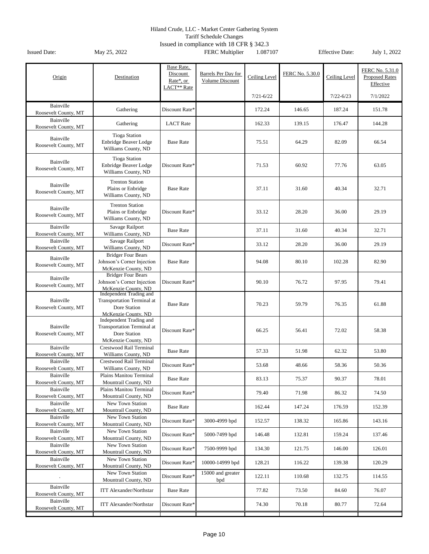Tariff Schedule Changes

| Origin                            | Destination                                                                                         | Base Rate,<br>Discount<br>Rate*, or<br>LACT <sup>**</sup> Rate | Barrels Per Day for<br>Volume Discount | Ceiling Level | FERC No. 5.30.0 | Ceiling Level | FERC No. 5.31.0<br><b>Proposed Rates</b><br>Effective |
|-----------------------------------|-----------------------------------------------------------------------------------------------------|----------------------------------------------------------------|----------------------------------------|---------------|-----------------|---------------|-------------------------------------------------------|
|                                   |                                                                                                     |                                                                |                                        | $7/21 - 6/22$ |                 | $7/22 - 6/23$ | 7/1/2022                                              |
| Bainville<br>Roosevelt County, MT | Gathering                                                                                           | Discount Rate*                                                 |                                        | 172.24        | 146.65          | 187.24        | 151.78                                                |
| Bainville<br>Roosevelt County, MT | Gathering                                                                                           | <b>LACT</b> Rate                                               |                                        | 162.33        | 139.15          | 176.47        | 144.28                                                |
| Bainville<br>Roosevelt County, MT | <b>Tioga Station</b><br>Enbridge Beaver Lodge<br>Williams County, ND                                | <b>Base Rate</b>                                               |                                        | 75.51         | 64.29           | 82.09         | 66.54                                                 |
| Bainville<br>Roosevelt County, MT | <b>Tioga Station</b><br>Enbridge Beaver Lodge<br>Williams County, ND                                | Discount Rate*                                                 |                                        | 71.53         | 60.92           | 77.76         | 63.05                                                 |
| Bainville<br>Roosevelt County, MT | <b>Trenton Station</b><br>Plains or Enbridge<br>Williams County, ND                                 | <b>Base Rate</b>                                               |                                        | 37.11         | 31.60           | 40.34         | 32.71                                                 |
| Bainville<br>Roosevelt County, MT | <b>Trenton Station</b><br>Plains or Enbridge<br>Williams County, ND                                 | Discount Rate*                                                 |                                        | 33.12         | 28.20           | 36.00         | 29.19                                                 |
| Bainville<br>Roosevelt County, MT | Savage Railport<br>Williams County, ND                                                              | <b>Base Rate</b>                                               |                                        | 37.11         | 31.60           | 40.34         | 32.71                                                 |
| Bainville<br>Roosevelt County, MT | Savage Railport<br>Williams County, ND                                                              | Discount Rate*                                                 |                                        | 33.12         | 28.20           | 36.00         | 29.19                                                 |
| Bainville<br>Roosevelt County, MT | <b>Bridger Four Bears</b><br>Johnson's Corner Injection<br>McKenzie County, ND                      | <b>Base Rate</b>                                               |                                        | 94.08         | 80.10           | 102.28        | 82.90                                                 |
| Bainville<br>Roosevelt County, MT | <b>Bridger Four Bears</b><br>Johnson's Corner Injection<br>McKenzie County, ND                      | Discount Rate*                                                 |                                        | 90.10         | 76.72           | 97.95         | 79.41                                                 |
| Bainville<br>Roosevelt County, MT | Independent Trading and<br><b>Transportation Terminal at</b><br>Dore Station<br>McKenzie County, ND | <b>Base Rate</b>                                               |                                        | 70.23         | 59.79           | 76.35         | 61.88                                                 |
| Bainville<br>Roosevelt County, MT | Independent Trading and<br>Transportation Terminal at<br>Dore Station<br>McKenzie County, ND        | Discount Rate*                                                 |                                        | 66.25         | 56.41           | 72.02         | 58.38                                                 |
| Bainville<br>Roosevelt County, MT | Crestwood Rail Terminal<br>Williams County, ND                                                      | <b>Base Rate</b>                                               |                                        | 57.33         | 51.98           | 62.32         | 53.80                                                 |
| Bainville<br>Roosevelt County, MT | Crestwood Rail Terminal<br>Williams County, ND                                                      | Discount Rate*                                                 |                                        | 53.68         | 48.66           | 58.36         | 50.36                                                 |
| Bainville<br>Roosevelt County, MT | Plains Manitou Terminal<br>Mountrail County, ND                                                     | <b>Base Rate</b>                                               |                                        | 83.13         | 75.37           | 90.37         | 78.01                                                 |
| Bainville<br>Roosevelt County, MT | Plains Manitou Terminal<br>Mountrail County, ND                                                     | Discount Rate*                                                 |                                        | 79.40         | 71.98           | 86.32         | 74.50                                                 |
| Bainville<br>Roosevelt County, MT | New Town Station<br>Mountrail County, ND                                                            | <b>Base Rate</b>                                               |                                        | 162.44        | 147.24          | 176.59        | 152.39                                                |
| Bainville<br>Roosevelt County, MT | New Town Station<br>Mountrail County, ND                                                            | Discount Rate*                                                 | 3000-4999 bpd                          | 152.57        | 138.32          | 165.86        | 143.16                                                |
| Bainville<br>Roosevelt County, MT | New Town Station<br>Mountrail County, ND                                                            | Discount Rate*                                                 | 5000-7499 bpd                          | 146.48        | 132.81          | 159.24        | 137.46                                                |
| Bainville<br>Roosevelt County, MT | New Town Station<br>Mountrail County, ND                                                            | Discount Rate*                                                 | 7500-9999 bpd                          | 134.30        | 121.75          | 146.00        | 126.01                                                |
| Bainville<br>Roosevelt County, MT | New Town Station<br>Mountrail County, ND                                                            | Discount Rate*                                                 | 10000-14999 bpd                        | 128.21        | 116.22          | 139.38        | 120.29                                                |
|                                   | New Town Station<br>Mountrail County, ND                                                            | Discount Rate*                                                 | 15000 and greater<br>bpd               | 122.11        | 110.68          | 132.75        | 114.55                                                |
| Bainville<br>Roosevelt County, MT | <b>ITT Alexander/Northstar</b>                                                                      | <b>Base Rate</b>                                               |                                        | 77.82         | 73.50           | 84.60         | 76.07                                                 |
| Bainville<br>Roosevelt County, MT | <b>ITT Alexander/Northstar</b>                                                                      | Discount Rate*                                                 |                                        | 74.30         | 70.18           | 80.77         | 72.64                                                 |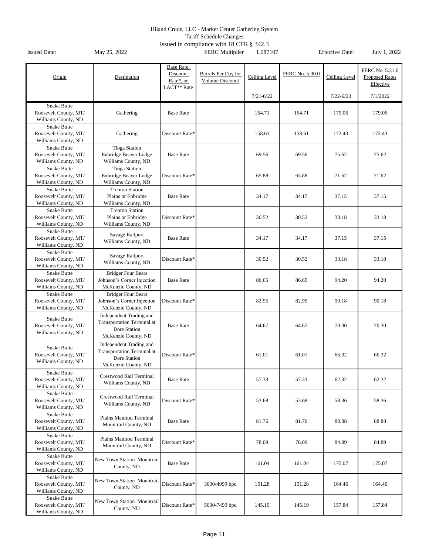Tariff Schedule Changes

| Origin                                                             | Destination                                                                                         | Base Rate,<br>Discount<br>Rate*, or<br>LACT <sup>**</sup> Rate | Barrels Per Day for<br>Volume Discount | Ceiling Level<br>$7/21 - 6/22$ | FERC No. 5.30.0 | Ceiling Level<br>$7/22 - 6/23$ | FERC No. 5.31.0<br><b>Proposed Rates</b><br>Effective<br>7/1/2022 |
|--------------------------------------------------------------------|-----------------------------------------------------------------------------------------------------|----------------------------------------------------------------|----------------------------------------|--------------------------------|-----------------|--------------------------------|-------------------------------------------------------------------|
| <b>Snake Butte</b><br>Roosevelt County, MT/<br>Williams County, ND | Gathering                                                                                           | <b>Base Rate</b>                                               |                                        | 164.71                         | 164.71          | 179.06                         | 179.06                                                            |
| <b>Snake Butte</b><br>Roosevelt County, MT/<br>Williams County, ND | Gathering                                                                                           | Discount Rate*                                                 |                                        | 158.61                         | 158.61          | 172.43                         | 172.43                                                            |
| <b>Snake Butte</b><br>Roosevelt County, MT/<br>Williams County, ND | <b>Tioga Station</b><br><b>Enbridge Beaver Lodge</b><br>Williams County, ND                         | <b>Base Rate</b>                                               |                                        | 69.56                          | 69.56           | 75.62                          | 75.62                                                             |
| Snake Butte<br>Roosevelt County, MT/<br>Williams County, ND        | <b>Tioga Station</b><br><b>Enbridge Beaver Lodge</b><br>Williams County, ND                         | Discount Rate*                                                 |                                        | 65.88                          | 65.88           | 71.62                          | 71.62                                                             |
| Snake Butte<br>Roosevelt County, MT/<br>Williams County, ND        | <b>Trenton Station</b><br>Plains or Enbridge<br>Williams County, ND                                 | <b>Base Rate</b>                                               |                                        | 34.17                          | 34.17           | 37.15                          | 37.15                                                             |
| <b>Snake Butte</b><br>Roosevelt County, MT/<br>Williams County, ND | <b>Trenton Station</b><br>Plains or Enbridge<br>Williams County, ND                                 | Discount Rate*                                                 |                                        | 30.52                          | 30.52           | 33.18                          | 33.18                                                             |
| Snake Butte<br>Roosevelt County, MT/<br>Williams County, ND        | Savage Railport<br>Williams County, ND                                                              | <b>Base Rate</b>                                               |                                        | 34.17                          | 34.17           | 37.15                          | 37.15                                                             |
| Snake Butte<br>Roosevelt County, MT/<br>Williams County, ND        | Savage Railport<br>Williams County, ND                                                              | Discount Rate*                                                 |                                        | 30.52                          | 30.52           | 33.18                          | 33.18                                                             |
| <b>Snake Butte</b><br>Roosevelt County, MT/<br>Williams County, ND | <b>Bridger Four Bears</b><br>Johnson's Corner Injection<br>McKenzie County, ND                      | <b>Base Rate</b>                                               |                                        | 86.65                          | 86.65           | 94.20                          | 94.20                                                             |
| <b>Snake Butte</b><br>Roosevelt County, MT/<br>Williams County, ND | <b>Bridger Four Bears</b><br>Johnson's Corner Injection<br>McKenzie County, ND                      | Discount Rate*                                                 |                                        | 82.95                          | 82.95           | 90.18                          | 90.18                                                             |
| <b>Snake Butte</b><br>Roosevelt County, MT/<br>Williams County, ND | Independent Trading and<br><b>Transportation Terminal at</b><br>Dore Station<br>McKenzie County, ND | <b>Base Rate</b>                                               |                                        | 64.67                          | 64.67           | 70.30                          | 70.30                                                             |
| Snake Butte<br>Roosevelt County, MT/<br>Williams County, ND        | Independent Trading and<br><b>Transportation Terminal at</b><br>Dore Station<br>McKenzie County, ND | Discount Rate*                                                 |                                        | 61.01                          | 61.01           | 66.32                          | 66.32                                                             |
| Snake Butte<br>Roosevelt County, MT/<br>Williams County, ND        | Crestwood Rail Terminal<br>Williams County, ND                                                      | <b>Base Rate</b>                                               |                                        | 57.33                          | 57.33           | 62.32                          | 62.32                                                             |
| <b>Snake Butte</b><br>Roosevelt County, MT/<br>Williams County, ND | Crestwood Rail Terminal<br>Williams County, ND                                                      | Discount Rate*                                                 |                                        | 53.68                          | 53.68           | 58.36                          | 58.36                                                             |
| Snake Butte<br>Roosevelt County, MT/<br>Williams County, ND        | Plains Manitou Terminal<br>Mountrail County, ND                                                     | <b>Base Rate</b>                                               |                                        | 81.76                          | 81.76           | 88.88                          | 88.88                                                             |
| <b>Snake Butte</b><br>Roosevelt County, MT/<br>Williams County, ND | Plains Manitou Terminal<br>Mountrail County, ND                                                     | Discount Rate*                                                 |                                        | 78.09                          | 78.09           | 84.89                          | 84.89                                                             |
| Snake Butte<br>Roosevelt County, MT/<br>Williams County, ND        | New Town Station Mountrail<br>County, ND                                                            | <b>Base Rate</b>                                               |                                        | 161.04                         | 161.04          | 175.07                         | 175.07                                                            |
| Snake Butte<br>Roosevelt County, MT/<br>Williams County, ND        | New Town Station Mountrail<br>County, ND                                                            | Discount Rate*                                                 | 3000-4999 bpd                          | 151.28                         | 151.28          | 164.46                         | 164.46                                                            |
| Snake Butte<br>Roosevelt County, MT/<br>Williams County, ND        | New Town Station Mountrail<br>County, ND                                                            | Discount Rate*                                                 | 5000-7499 bpd                          | 145.19                         | 145.19          | 157.84                         | 157.84                                                            |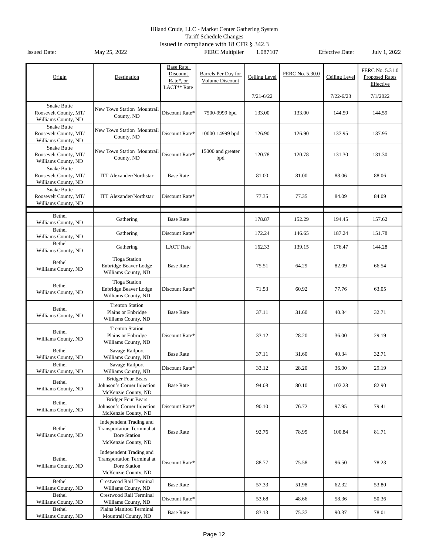Tariff Schedule Changes

| Origin                                                             | Destination                                                                                  | Base Rate,<br>Discount<br>Rate*, or<br>LACT** Rate | Barrels Per Day for<br>Volume Discount | Ceiling Level | FERC No. 5.30.0 | Ceiling Level | FERC No. 5.31.0<br><b>Proposed Rates</b><br>Effective |
|--------------------------------------------------------------------|----------------------------------------------------------------------------------------------|----------------------------------------------------|----------------------------------------|---------------|-----------------|---------------|-------------------------------------------------------|
|                                                                    |                                                                                              |                                                    |                                        | $7/21 - 6/22$ |                 | $7/22 - 6/23$ | 7/1/2022                                              |
| <b>Snake Butte</b><br>Roosevelt County, MT/<br>Williams County, ND | New Town Station Mountrail<br>County, ND                                                     | Discount Rate*                                     | 7500-9999 bpd                          | 133.00        | 133.00          | 144.59        | 144.59                                                |
| <b>Snake Butte</b><br>Roosevelt County, MT/<br>Williams County, ND | New Town Station Mountrail<br>County, ND                                                     | Discount Rate*                                     | 10000-14999 bpd                        | 126.90        | 126.90          | 137.95        | 137.95                                                |
| <b>Snake Butte</b><br>Roosevelt County, MT/<br>Williams County, ND | New Town Station Mountrail<br>County, ND                                                     | Discount Rate*                                     | 15000 and greater<br>bpd               | 120.78        | 120.78          | 131.30        | 131.30                                                |
| <b>Snake Butte</b><br>Roosevelt County, MT/<br>Williams County, ND | <b>ITT Alexander/Northstar</b>                                                               | <b>Base Rate</b>                                   |                                        | 81.00         | 81.00           | 88.06         | 88.06                                                 |
| <b>Snake Butte</b><br>Roosevelt County, MT/<br>Williams County, ND | <b>ITT Alexander/Northstar</b>                                                               | Discount Rate*                                     |                                        | 77.35         | 77.35           | 84.09         | 84.09                                                 |
| Bethel<br>Williams County, ND                                      | Gathering                                                                                    | <b>Base Rate</b>                                   |                                        | 178.87        | 152.29          | 194.45        | 157.62                                                |
| Bethel<br>Williams County, ND                                      | Gathering                                                                                    | Discount Rate*                                     |                                        | 172.24        | 146.65          | 187.24        | 151.78                                                |
| <b>Bethel</b><br>Williams County, ND                               | Gathering                                                                                    | <b>LACT</b> Rate                                   |                                        | 162.33        | 139.15          | 176.47        | 144.28                                                |
| Bethel<br>Williams County, ND                                      | <b>Tioga Station</b><br>Enbridge Beaver Lodge<br>Williams County, ND                         | <b>Base Rate</b>                                   |                                        | 75.51         | 64.29           | 82.09         | 66.54                                                 |
| Bethel<br>Williams County, ND                                      | <b>Tioga Station</b><br>Enbridge Beaver Lodge<br>Williams County, ND                         | Discount Rate*                                     |                                        | 71.53         | 60.92           | 77.76         | 63.05                                                 |
| Bethel<br>Williams County, ND                                      | <b>Trenton Station</b><br>Plains or Enbridge<br>Williams County, ND                          | <b>Base Rate</b>                                   |                                        | 37.11         | 31.60           | 40.34         | 32.71                                                 |
| Bethel<br>Williams County, ND                                      | <b>Trenton Station</b><br>Plains or Enbridge<br>Williams County, ND                          | Discount Rate*                                     |                                        | 33.12         | 28.20           | 36.00         | 29.19                                                 |
| Bethel<br>Williams County, ND                                      | Savage Railport<br>Williams County, ND                                                       | <b>Base Rate</b>                                   |                                        | 37.11         | 31.60           | 40.34         | 32.71                                                 |
| Bethel<br>Williams County, ND                                      | Savage Railport<br>Williams County, ND                                                       | Discount Rate*                                     |                                        | 33.12         | 28.20           | 36.00         | 29.19                                                 |
| Bethel<br>Williams County, ND                                      | <b>Bridger Four Bears</b><br>Johnson's Corner Injection<br>McKenzie County, ND               | <b>Base Rate</b>                                   |                                        | 94.08         | 80.10           | 102.28        | 82.90                                                 |
| Bethel<br>Williams County, ND                                      | <b>Bridger Four Bears</b><br>Johnson's Corner Injection<br>McKenzie County, ND               | Discount Rate*                                     |                                        | 90.10         | 76.72           | 97.95         | 79.41                                                 |
| Bethel<br>Williams County, ND                                      | Independent Trading and<br>Transportation Terminal at<br>Dore Station<br>McKenzie County, ND | <b>Base Rate</b>                                   |                                        | 92.76         | 78.95           | 100.84        | 81.71                                                 |
| Bethel<br>Williams County, ND                                      | Independent Trading and<br>Transportation Terminal at<br>Dore Station<br>McKenzie County, ND | Discount Rate*                                     |                                        | 88.77         | 75.58           | 96.50         | 78.23                                                 |
| Bethel<br>Williams County, ND                                      | Crestwood Rail Terminal<br>Williams County, ND                                               | <b>Base Rate</b>                                   |                                        | 57.33         | 51.98           | 62.32         | 53.80                                                 |
| Bethel<br>Williams County, ND                                      | Crestwood Rail Terminal<br>Williams County, ND                                               | Discount Rate*                                     |                                        | 53.68         | 48.66           | 58.36         | 50.36                                                 |
| Bethel<br>Williams County, ND                                      | Plains Manitou Terminal<br>Mountrail County, ND                                              | <b>Base Rate</b>                                   |                                        | 83.13         | 75.37           | 90.37         | 78.01                                                 |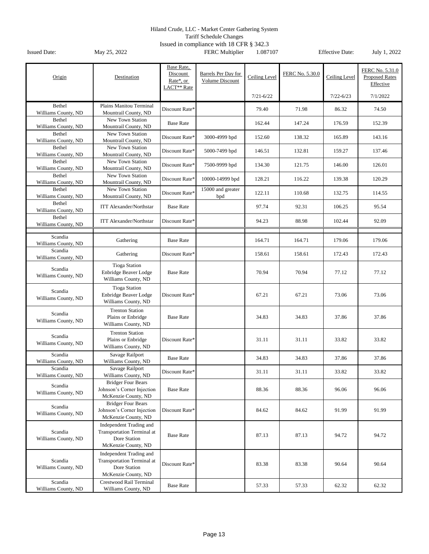Tariff Schedule Changes

| Origin                         | Destination                                                                                         | Base Rate,<br>Discount<br>Rate*, or<br>LACT <sup>**</sup> Rate | Barrels Per Day for<br>Volume Discount | Ceiling Level | FERC No. 5.30.0 | Ceiling Level | FERC No. 5.31.0<br><b>Proposed Rates</b><br>Effective |
|--------------------------------|-----------------------------------------------------------------------------------------------------|----------------------------------------------------------------|----------------------------------------|---------------|-----------------|---------------|-------------------------------------------------------|
|                                |                                                                                                     |                                                                |                                        | $7/21 - 6/22$ |                 | $7/22 - 6/23$ | 7/1/2022                                              |
| Bethel<br>Williams County, ND  | Plains Manitou Terminal<br>Mountrail County, ND                                                     | Discount Rate*                                                 |                                        | 79.40         | 71.98           | 86.32         | 74.50                                                 |
| Bethel<br>Williams County, ND  | New Town Station<br>Mountrail County, ND                                                            | <b>Base Rate</b>                                               |                                        | 162.44        | 147.24          | 176.59        | 152.39                                                |
| Bethel<br>Williams County, ND  | New Town Station<br>Mountrail County, ND                                                            | Discount Rate*                                                 | 3000-4999 bpd                          | 152.60        | 138.32          | 165.89        | 143.16                                                |
| Bethel<br>Williams County, ND  | New Town Station<br>Mountrail County, ND                                                            | Discount Rate*                                                 | 5000-7499 bpd                          | 146.51        | 132.81          | 159.27        | 137.46                                                |
| Bethel<br>Williams County, ND  | New Town Station<br>Mountrail County, ND                                                            | Discount Rate*                                                 | 7500-9999 bpd                          | 134.30        | 121.75          | 146.00        | 126.01                                                |
| Bethel<br>Williams County, ND  | New Town Station<br>Mountrail County, ND                                                            | Discount Rate*                                                 | 10000-14999 bpd                        | 128.21        | 116.22          | 139.38        | 120.29                                                |
| Bethel<br>Williams County, ND  | New Town Station<br>Mountrail County, ND                                                            | Discount Rate*                                                 | 15000 and greater<br>bpd               | 122.11        | 110.68          | 132.75        | 114.55                                                |
| Bethel<br>Williams County, ND  | <b>ITT Alexander/Northstar</b>                                                                      | <b>Base Rate</b>                                               |                                        | 97.74         | 92.31           | 106.25        | 95.54                                                 |
| Bethel<br>Williams County, ND  | <b>ITT Alexander/Northstar</b>                                                                      | Discount Rate*                                                 |                                        | 94.23         | 88.98           | 102.44        | 92.09                                                 |
| Scandia<br>Williams County, ND | Gathering                                                                                           | <b>Base Rate</b>                                               |                                        | 164.71        | 164.71          | 179.06        | 179.06                                                |
| Scandia<br>Williams County, ND | Gathering                                                                                           | Discount Rate*                                                 |                                        | 158.61        | 158.61          | 172.43        | 172.43                                                |
| Scandia<br>Williams County, ND | <b>Tioga Station</b><br>Enbridge Beaver Lodge<br>Williams County, ND                                | <b>Base Rate</b>                                               |                                        | 70.94         | 70.94           | 77.12         | 77.12                                                 |
| Scandia<br>Williams County, ND | <b>Tioga Station</b><br>Enbridge Beaver Lodge<br>Williams County, ND                                | Discount Rate*                                                 |                                        | 67.21         | 67.21           | 73.06         | 73.06                                                 |
| Scandia<br>Williams County, ND | <b>Trenton Station</b><br>Plains or Enbridge<br>Williams County, ND                                 | <b>Base Rate</b>                                               |                                        | 34.83         | 34.83           | 37.86         | 37.86                                                 |
| Scandia<br>Williams County, ND | <b>Trenton Station</b><br>Plains or Enbridge<br>Williams County, ND                                 | Discount Rate*                                                 |                                        | 31.11         | 31.11           | 33.82         | 33.82                                                 |
| Scandia<br>Williams County, ND | Savage Railport<br>Williams County, ND                                                              | <b>Base Rate</b>                                               |                                        | 34.83         | 34.83           | 37.86         | 37.86                                                 |
| Scandia<br>Williams County, ND | Savage Railport<br>Williams County, ND                                                              | Discount Rate*                                                 |                                        | 31.11         | 31.11           | 33.82         | 33.82                                                 |
| Scandia<br>Williams County, ND | <b>Bridger Four Bears</b><br>Johnson's Corner Injection<br>McKenzie County, ND                      | <b>Base Rate</b>                                               |                                        | 88.36         | 88.36           | 96.06         | 96.06                                                 |
| Scandia<br>Williams County, ND | <b>Bridger Four Bears</b><br>Johnson's Corner Injection<br>McKenzie County, ND                      | Discount Rate*                                                 |                                        | 84.62         | 84.62           | 91.99         | 91.99                                                 |
| Scandia<br>Williams County, ND | Independent Trading and<br><b>Transportation Terminal at</b><br>Dore Station<br>McKenzie County, ND | <b>Base Rate</b>                                               |                                        | 87.13         | 87.13           | 94.72         | 94.72                                                 |
| Scandia<br>Williams County, ND | Independent Trading and<br>Transportation Terminal at<br>Dore Station<br>McKenzie County, ND        | Discount Rate*                                                 |                                        | 83.38         | 83.38           | 90.64         | 90.64                                                 |
| Scandia<br>Williams County, ND | Crestwood Rail Terminal<br>Williams County, ND                                                      | <b>Base Rate</b>                                               |                                        | 57.33         | 57.33           | 62.32         | 62.32                                                 |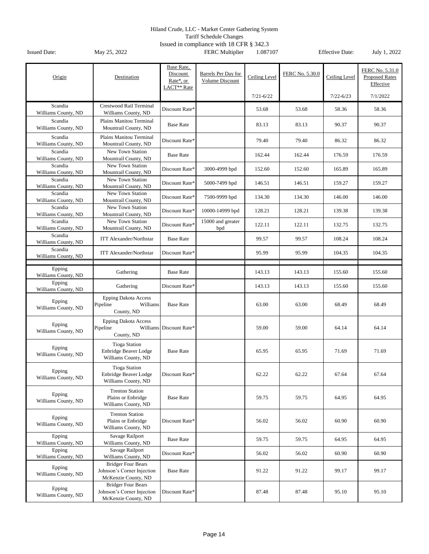Tariff Schedule Changes

| Origin                         | Destination                                                                    | Base Rate,<br>Discount<br>Rate*, or<br>LACT** Rate | Barrels Per Day for<br><b>Volume Discount</b> | Ceiling Level | FERC No. 5.30.0 | Ceiling Level | FERC No. 5.31.0<br><b>Proposed Rates</b><br>Effective |
|--------------------------------|--------------------------------------------------------------------------------|----------------------------------------------------|-----------------------------------------------|---------------|-----------------|---------------|-------------------------------------------------------|
|                                |                                                                                |                                                    |                                               | $7/21 - 6/22$ |                 | $7/22 - 6/23$ | 7/1/2022                                              |
| Scandia<br>Williams County, ND | Crestwood Rail Terminal<br>Williams County, ND                                 | Discount Rate*                                     |                                               | 53.68         | 53.68           | 58.36         | 58.36                                                 |
| Scandia<br>Williams County, ND | Plains Manitou Terminal<br>Mountrail County, ND                                | <b>Base Rate</b>                                   |                                               | 83.13         | 83.13           | 90.37         | 90.37                                                 |
| Scandia<br>Williams County, ND | Plains Manitou Terminal<br>Mountrail County, ND                                | Discount Rate*                                     |                                               | 79.40         | 79.40           | 86.32         | 86.32                                                 |
| Scandia<br>Williams County, ND | New Town Station<br>Mountrail County, ND                                       | <b>Base Rate</b>                                   |                                               | 162.44        | 162.44          | 176.59        | 176.59                                                |
| Scandia<br>Williams County, ND | New Town Station<br>Mountrail County, ND                                       | Discount Rate*                                     | 3000-4999 bpd                                 | 152.60        | 152.60          | 165.89        | 165.89                                                |
| Scandia<br>Williams County, ND | New Town Station<br>Mountrail County, ND                                       | Discount Rate*                                     | 5000-7499 bpd                                 | 146.51        | 146.51          | 159.27        | 159.27                                                |
| Scandia<br>Williams County, ND | New Town Station<br>Mountrail County, ND                                       | Discount Rate*                                     | 7500-9999 bpd                                 | 134.30        | 134.30          | 146.00        | 146.00                                                |
| Scandia<br>Williams County, ND | New Town Station<br>Mountrail County, ND                                       | Discount Rate*                                     | 10000-14999 bpd                               | 128.21        | 128.21          | 139.38        | 139.38                                                |
| Scandia<br>Williams County, ND | New Town Station<br>Mountrail County, ND                                       | Discount Rate*                                     | 15000 and greater<br>bpd                      | 122.11        | 122.11          | 132.75        | 132.75                                                |
| Scandia<br>Williams County, ND | <b>ITT Alexander/Northstar</b>                                                 | <b>Base Rate</b>                                   |                                               | 99.57         | 99.57           | 108.24        | 108.24                                                |
| Scandia<br>Williams County, ND | <b>ITT Alexander/Northstar</b>                                                 | Discount Rate*                                     |                                               | 95.99         | 95.99           | 104.35        | 104.35                                                |
|                                |                                                                                |                                                    |                                               |               |                 |               |                                                       |
| Epping<br>Williams County, ND  | Gathering                                                                      | <b>Base Rate</b>                                   |                                               | 143.13        | 143.13          | 155.60        | 155.60                                                |
| Epping<br>Williams County, ND  | Gathering                                                                      | Discount Rate*                                     |                                               | 143.13        | 143.13          | 155.60        | 155.60                                                |
| Epping<br>Williams County, ND  | <b>Epping Dakota Access</b><br>Pipeline<br>Williams<br>County, ND              | <b>Base Rate</b>                                   |                                               | 63.00         | 63.00           | 68.49         | 68.49                                                 |
| Epping<br>Williams County, ND  | <b>Epping Dakota Access</b><br>Pipeline<br>Williams<br>County, ND              | Discount Rate*                                     |                                               | 59.00         | 59.00           | 64.14         | 64.14                                                 |
| Epping<br>Williams County, ND  | <b>Tioga Station</b><br>Enbridge Beaver Lodge<br>Williams County, ND           | <b>Base Rate</b>                                   |                                               | 65.95         | 65.95           | 71.69         | 71.69                                                 |
| Epping<br>Williams County, ND  | <b>Tioga Station</b><br>Enbridge Beaver Lodge<br>Williams County, ND           | Discount Rate*                                     |                                               | 62.22         | 62.22           | 67.64         | 67.64                                                 |
| Epping<br>Williams County, ND  | <b>Trenton Station</b><br>Plains or Enbridge<br>Williams County, ND            | <b>Base Rate</b>                                   |                                               | 59.75         | 59.75           | 64.95         | 64.95                                                 |
| Epping<br>Williams County, ND  | <b>Trenton Station</b><br>Plains or Enbridge<br>Williams County, ND            | Discount Rate*                                     |                                               | 56.02         | 56.02           | 60.90         | 60.90                                                 |
| Epping<br>Williams County, ND  | Savage Railport<br>Williams County, ND                                         | <b>Base Rate</b>                                   |                                               | 59.75         | 59.75           | 64.95         | 64.95                                                 |
| Epping<br>Williams County, ND  | Savage Railport<br>Williams County, ND                                         | Discount Rate*                                     |                                               | 56.02         | 56.02           | 60.90         | 60.90                                                 |
| Epping<br>Williams County, ND  | <b>Bridger Four Bears</b><br>Johnson's Corner Injection<br>McKenzie County, ND | <b>Base Rate</b>                                   |                                               | 91.22         | 91.22           | 99.17         | 99.17                                                 |
| Epping<br>Williams County, ND  | <b>Bridger Four Bears</b><br>Johnson's Corner Injection<br>McKenzie County, ND | Discount Rate*                                     |                                               | 87.48         | 87.48           | 95.10         | 95.10                                                 |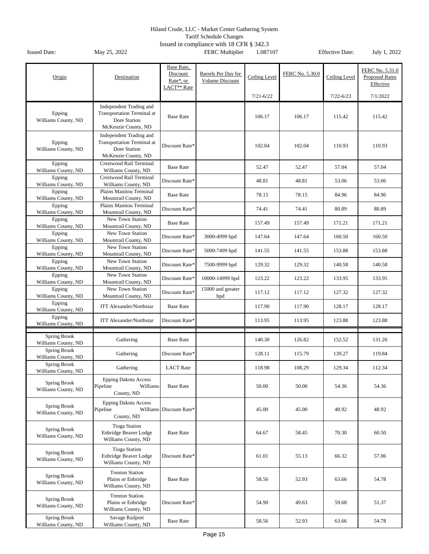Tariff Schedule Changes

| Origin                                     | Destination                                                                                         | Base Rate,<br>Discount<br>Rate*, or<br>LACT <sup>**</sup> Rate | Barrels Per Day for<br>Volume Discount | Ceiling Level | FERC No. 5.30.0 | Ceiling Level | FERC No. 5.31.0<br><b>Proposed Rates</b><br>Effective |
|--------------------------------------------|-----------------------------------------------------------------------------------------------------|----------------------------------------------------------------|----------------------------------------|---------------|-----------------|---------------|-------------------------------------------------------|
|                                            |                                                                                                     |                                                                |                                        | $7/21 - 6/22$ |                 | $7/22 - 6/23$ | 7/1/2022                                              |
| Epping<br>Williams County, ND              | Independent Trading and<br><b>Transportation Terminal at</b><br>Dore Station<br>McKenzie County, ND | <b>Base Rate</b>                                               |                                        | 106.17        | 106.17          | 115.42        | 115.42                                                |
| Epping<br>Williams County, ND              | Independent Trading and<br><b>Transportation Terminal at</b><br>Dore Station<br>McKenzie County, ND | Discount Rate*                                                 |                                        | 102.04        | 102.04          | 110.93        | 110.93                                                |
| Epping<br>Williams County, ND              | Crestwood Rail Terminal<br>Williams County, ND                                                      | <b>Base Rate</b>                                               |                                        | 52.47         | 52.47           | 57.04         | 57.04                                                 |
| Epping<br>Williams County, ND              | <b>Crestwood Rail Terminal</b><br>Williams County, ND                                               | Discount Rate*                                                 |                                        | 48.81         | 48.81           | 53.06         | 53.06                                                 |
| Epping<br>Williams County, ND              | Plains Manitou Terminal<br>Mountrail County, ND                                                     | <b>Base Rate</b>                                               |                                        | 78.15         | 78.15           | 84.96         | 84.96                                                 |
| Epping<br>Williams County, ND              | Plains Manitou Terminal<br>Mountrail County, ND                                                     | Discount Rate*                                                 |                                        | 74.41         | 74.41           | 80.89         | 80.89                                                 |
| Epping<br>Williams County, ND              | New Town Station<br>Mountrail County, ND                                                            | <b>Base Rate</b>                                               |                                        | 157.49        | 157.49          | 171.21        | 171.21                                                |
| Epping<br>Williams County, ND              | New Town Station<br>Mountrail County, ND                                                            | Discount Rate*                                                 | 3000-4999 bpd                          | 147.64        | 147.64          | 160.50        | 160.50                                                |
| Epping<br>Williams County, ND              | New Town Station<br>Mountrail County, ND                                                            | Discount Rate*                                                 | 5000-7499 bpd                          | 141.55        | 141.55          | 153.88        | 153.88                                                |
| Epping<br>Williams County, ND              | New Town Station<br>Mountrail County, ND                                                            | Discount Rate*                                                 | 7500-9999 bpd                          | 129.32        | 129.32          | 140.58        | 140.58                                                |
| Epping<br>Williams County, ND              | <b>New Town Station</b><br>Mountrail County, ND                                                     | Discount Rate*                                                 | 10000-14999 bpd                        | 123.22        | 123.22          | 133.95        | 133.95                                                |
| Epping<br>Williams County, ND              | New Town Station<br>Mountrail County, ND                                                            | Discount Rate*                                                 | 15000 and greater<br>bpd               | 117.12        | 117.12          | 127.32        | 127.32                                                |
| Epping<br>Williams County, ND              | <b>ITT Alexander/Northstar</b>                                                                      | <b>Base Rate</b>                                               |                                        | 117.90        | 117.90          | 128.17        | 128.17                                                |
| Epping<br>Williams County, ND              | <b>ITT Alexander/Northstar</b>                                                                      | Discount Rate*                                                 |                                        | 113.95        | 113.95          | 123.88        | 123.88                                                |
|                                            |                                                                                                     |                                                                |                                        |               |                 |               |                                                       |
| Spring Brook<br>Williams County, ND        | Gathering                                                                                           | <b>Base Rate</b>                                               |                                        | 140.30        | 126.82          | 152.52        | 131.26                                                |
| <b>Spring Brook</b><br>Williams County, ND | Gathering                                                                                           | Discount Rate*                                                 |                                        | 128.11        | 115.79          | 139.27        | 119.84                                                |
| <b>Spring Brook</b><br>Williams County, ND | Gathering                                                                                           | <b>LACT</b> Rate                                               |                                        | 118.98        | 108.29          | 129.34        | 112.34                                                |
| Spring Brook<br>Williams County, ND        | <b>Epping Dakota Access</b><br>Pipeline<br>Williams<br>County, ND                                   | <b>Base Rate</b>                                               |                                        | 50.00         | 50.00           | 54.36         | 54.36                                                 |
| Spring Brook<br>Williams County, ND        | <b>Epping Dakota Access</b><br>Pipeline<br>Williams<br>County, ND                                   | Discount Rate*                                                 |                                        | 45.00         | 45.00           | 48.92         | 48.92                                                 |
| Spring Brook<br>Williams County, ND        | <b>Tioga Station</b><br>Enbridge Beaver Lodge<br>Williams County, ND                                | <b>Base Rate</b>                                               |                                        | 64.67         | 58.45           | 70.30         | 60.50                                                 |
| Spring Brook<br>Williams County, ND        | <b>Tioga Station</b><br>Enbridge Beaver Lodge<br>Williams County, ND                                | Discount Rate*                                                 |                                        | 61.01         | 55.13           | 66.32         | 57.06                                                 |
| <b>Spring Brook</b><br>Williams County, ND | <b>Trenton Station</b><br>Plains or Enbridge<br>Williams County, ND                                 | <b>Base Rate</b>                                               |                                        | 58.56         | 52.93           | 63.66         | 54.78                                                 |
| <b>Spring Brook</b><br>Williams County, ND | <b>Trenton Station</b><br>Plains or Enbridge<br>Williams County, ND                                 | Discount Rate*                                                 |                                        | 54.90         | 49.63           | 59.68         | 51.37                                                 |
| Spring Brook<br>Williams County, ND        | Savage Railport<br>Williams County, ND                                                              | <b>Base Rate</b>                                               |                                        | 58.56         | 52.93           | 63.66         | 54.78                                                 |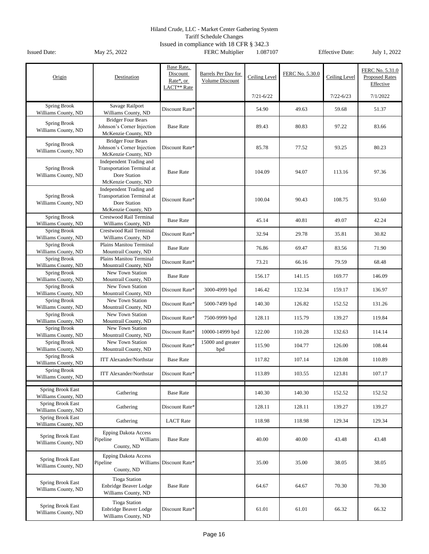Tariff Schedule Changes

| Origin                                                     | Destination                                                                                  | Base Rate,<br>Discount<br>Rate*, or<br>LACT <sup>**</sup> Rate | Barrels Per Day for<br>Volume Discount | Ceiling Level<br>$7/21 - 6/22$ | FERC No. 5.30.0 | Ceiling Level<br>$7/22 - 6/23$ | FERC No. 5.31.0<br><b>Proposed Rates</b><br>Effective<br>7/1/2022 |
|------------------------------------------------------------|----------------------------------------------------------------------------------------------|----------------------------------------------------------------|----------------------------------------|--------------------------------|-----------------|--------------------------------|-------------------------------------------------------------------|
| Spring Brook                                               | Savage Railport                                                                              |                                                                |                                        |                                |                 |                                |                                                                   |
| Williams County, ND                                        | Williams County, ND                                                                          | Discount Rate*                                                 |                                        | 54.90                          | 49.63           | 59.68                          | 51.37                                                             |
| Spring Brook<br>Williams County, ND                        | <b>Bridger Four Bears</b><br>Johnson's Corner Injection<br>McKenzie County, ND               | <b>Base Rate</b>                                               |                                        | 89.43                          | 80.83           | 97.22                          | 83.66                                                             |
| Spring Brook<br>Williams County, ND                        | <b>Bridger Four Bears</b><br>Johnson's Corner Injection<br>McKenzie County, ND               | Discount Rate*                                                 |                                        | 85.78                          | 77.52           | 93.25                          | 80.23                                                             |
| Spring Brook<br>Williams County, ND                        | Independent Trading and<br>Transportation Terminal at<br>Dore Station<br>McKenzie County, ND | <b>Base Rate</b>                                               |                                        | 104.09                         | 94.07           | 113.16                         | 97.36                                                             |
| Spring Brook<br>Williams County, ND                        | Independent Trading and<br>Transportation Terminal at<br>Dore Station<br>McKenzie County, ND | Discount Rate*                                                 |                                        | 100.04                         | 90.43           | 108.75                         | 93.60                                                             |
| <b>Spring Brook</b><br>Williams County, ND                 | Crestwood Rail Terminal<br>Williams County, ND                                               | <b>Base Rate</b>                                               |                                        | 45.14                          | 40.81           | 49.07                          | 42.24                                                             |
| Spring Brook<br>Williams County, ND                        | Crestwood Rail Terminal<br>Williams County, ND                                               | Discount Rate*                                                 |                                        | 32.94                          | 29.78           | 35.81                          | 30.82                                                             |
| Spring Brook<br>Williams County, ND                        | Plains Manitou Terminal<br>Mountrail County, ND                                              | <b>Base Rate</b>                                               |                                        | 76.86                          | 69.47           | 83.56                          | 71.90                                                             |
| <b>Spring Brook</b><br>Williams County, ND                 | Plains Manitou Terminal<br>Mountrail County, ND                                              | Discount Rate*                                                 |                                        | 73.21                          | 66.16           | 79.59                          | 68.48                                                             |
| Spring Brook<br>Williams County, ND                        | New Town Station<br>Mountrail County, ND                                                     | <b>Base Rate</b>                                               |                                        | 156.17                         | 141.15          | 169.77                         | 146.09                                                            |
| Spring Brook<br>Williams County, ND                        | New Town Station<br>Mountrail County, ND                                                     | Discount Rate*                                                 | 3000-4999 bpd                          | 146.42                         | 132.34          | 159.17                         | 136.97                                                            |
| <b>Spring Brook</b><br>Williams County, ND                 | New Town Station<br>Mountrail County, ND                                                     | Discount Rate*                                                 | 5000-7499 bpd                          | 140.30                         | 126.82          | 152.52                         | 131.26                                                            |
| <b>Spring Brook</b><br>Williams County, ND                 | New Town Station<br>Mountrail County, ND                                                     | Discount Rate*                                                 | 7500-9999 bpd                          | 128.11                         | 115.79          | 139.27                         | 119.84                                                            |
| Spring Brook<br>Williams County, ND                        | New Town Station<br>Mountrail County, ND                                                     | Discount Rate*                                                 | 10000-14999 bpd                        | 122.00                         | 110.28          | 132.63                         | 114.14                                                            |
| <b>Spring Brook</b>                                        | New Town Station                                                                             | Discount Rate*                                                 | 15000 and greater                      | 115.90                         | 104.77          | 126.00                         | 108.44                                                            |
| Williams County, ND<br>Spring Brook                        | Mountrail County, ND<br><b>ITT Alexander/Northstar</b>                                       | <b>Base Rate</b>                                               | bpd                                    | 117.82                         | 107.14          | 128.08                         | 110.89                                                            |
| Williams County, ND<br>Spring Brook<br>Williams County, ND | ITT Alexander/Northstar                                                                      | Discount Rate*                                                 |                                        | 113.89                         | 103.55          | 123.81                         | 107.17                                                            |
|                                                            |                                                                                              |                                                                |                                        |                                |                 |                                |                                                                   |
| <b>Spring Brook East</b><br>Williams County, ND            | Gathering                                                                                    | <b>Base Rate</b>                                               |                                        | 140.30                         | 140.30          | 152.52                         | 152.52                                                            |
| <b>Spring Brook East</b><br>Williams County, ND            | Gathering                                                                                    | Discount Rate*                                                 |                                        | 128.11                         | 128.11          | 139.27                         | 139.27                                                            |
| <b>Spring Brook East</b><br>Williams County, ND            | Gathering                                                                                    | <b>LACT</b> Rate                                               |                                        | 118.98                         | 118.98          | 129.34                         | 129.34                                                            |
| Spring Brook East<br>Williams County, ND                   | <b>Epping Dakota Access</b><br>Pipeline<br>Williams<br>County, ND                            | <b>Base Rate</b>                                               |                                        | 40.00                          | 40.00           | 43.48                          | 43.48                                                             |
| Spring Brook East<br>Williams County, ND                   | <b>Epping Dakota Access</b><br>Pipeline<br>County, ND                                        | Williams Discount Rate*                                        |                                        | 35.00                          | 35.00           | 38.05                          | 38.05                                                             |
| Spring Brook East<br>Williams County, ND                   | <b>Tioga Station</b><br>Enbridge Beaver Lodge<br>Williams County, ND                         | <b>Base Rate</b>                                               |                                        | 64.67                          | 64.67           | 70.30                          | 70.30                                                             |
| <b>Spring Brook East</b><br>Williams County, ND            | <b>Tioga Station</b><br>Enbridge Beaver Lodge<br>Williams County, ND                         | Discount Rate*                                                 |                                        | 61.01                          | 61.01           | 66.32                          | 66.32                                                             |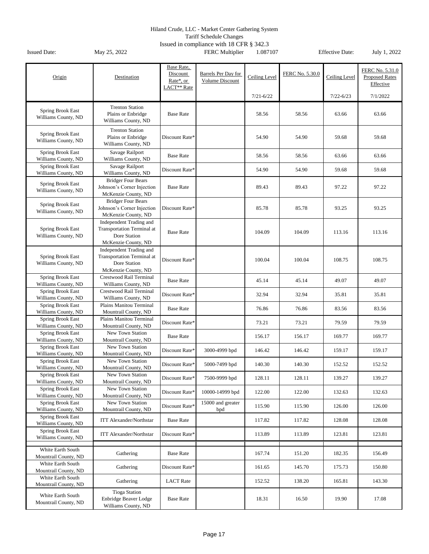Tariff Schedule Changes

| Origin                                          | Destination                                                                                         | Base Rate,<br>Discount<br>Rate*, or<br>LACT** Rate | Barrels Per Day for<br>Volume Discount | Ceiling Level | FERC No. 5.30.0 | Ceiling Level | FERC No. 5.31.0<br><b>Proposed Rates</b><br>Effective |
|-------------------------------------------------|-----------------------------------------------------------------------------------------------------|----------------------------------------------------|----------------------------------------|---------------|-----------------|---------------|-------------------------------------------------------|
|                                                 |                                                                                                     |                                                    |                                        | $7/21 - 6/22$ |                 | $7/22 - 6/23$ | 7/1/2022                                              |
| Spring Brook East<br>Williams County, ND        | <b>Trenton Station</b><br>Plains or Enbridge<br>Williams County, ND                                 | <b>Base Rate</b>                                   |                                        | 58.56         | 58.56           | 63.66         | 63.66                                                 |
| Spring Brook East<br>Williams County, ND        | <b>Trenton Station</b><br>Plains or Enbridge<br>Williams County, ND                                 | Discount Rate*                                     |                                        | 54.90         | 54.90           | 59.68         | 59.68                                                 |
| <b>Spring Brook East</b><br>Williams County, ND | Savage Railport<br>Williams County, ND                                                              | <b>Base Rate</b>                                   |                                        | 58.56         | 58.56           | 63.66         | 63.66                                                 |
| <b>Spring Brook East</b><br>Williams County, ND | Savage Railport<br>Williams County, ND                                                              | Discount Rate*                                     |                                        | 54.90         | 54.90           | 59.68         | 59.68                                                 |
| Spring Brook East<br>Williams County, ND        | <b>Bridger Four Bears</b><br>Johnson's Corner Injection<br>McKenzie County, ND                      | <b>Base Rate</b>                                   |                                        | 89.43         | 89.43           | 97.22         | 97.22                                                 |
| Spring Brook East<br>Williams County, ND        | <b>Bridger Four Bears</b><br>Johnson's Corner Injection<br>McKenzie County, ND                      | Discount Rate*                                     |                                        | 85.78         | 85.78           | 93.25         | 93.25                                                 |
| Spring Brook East<br>Williams County, ND        | Independent Trading and<br><b>Transportation Terminal at</b><br>Dore Station<br>McKenzie County, ND | <b>Base Rate</b>                                   |                                        | 104.09        | 104.09          | 113.16        | 113.16                                                |
| Spring Brook East<br>Williams County, ND        | Independent Trading and<br><b>Transportation Terminal at</b><br>Dore Station<br>McKenzie County, ND | Discount Rate*                                     |                                        | 100.04        | 100.04          | 108.75        | 108.75                                                |
| Spring Brook East<br>Williams County, ND        | Crestwood Rail Terminal<br>Williams County, ND                                                      | <b>Base Rate</b>                                   |                                        | 45.14         | 45.14           | 49.07         | 49.07                                                 |
| <b>Spring Brook East</b><br>Williams County, ND | Crestwood Rail Terminal<br>Williams County, ND                                                      | Discount Rate*                                     |                                        | 32.94         | 32.94           | 35.81         | 35.81                                                 |
| Spring Brook East<br>Williams County, ND        | Plains Manitou Terminal<br>Mountrail County, ND                                                     | <b>Base Rate</b>                                   |                                        | 76.86         | 76.86           | 83.56         | 83.56                                                 |
| Spring Brook East<br>Williams County, ND        | Plains Manitou Terminal<br>Mountrail County, ND                                                     | Discount Rate*                                     |                                        | 73.21         | 73.21           | 79.59         | 79.59                                                 |
| <b>Spring Brook East</b>                        | New Town Station                                                                                    | <b>Base Rate</b>                                   |                                        | 156.17        | 156.17          | 169.77        | 169.77                                                |
| Williams County, ND<br><b>Spring Brook East</b> | Mountrail County, ND<br>New Town Station                                                            | Discount Rate*                                     | 3000-4999 bpd                          | 146.42        | 146.42          | 159.17        | 159.17                                                |
| Williams County, ND<br><b>Spring Brook East</b> | Mountrail County, ND<br>New Town Station                                                            | Discount Rate*                                     | 5000-7499 bpd                          | 140.30        | 140.30          | 152.52        | 152.52                                                |
| Williams County, ND<br>Spring Brook East        | Mountrail County, ND<br>New Town Station                                                            |                                                    |                                        |               |                 |               |                                                       |
| Williams County, ND<br><b>Spring Brook East</b> | Mountrail County, ND<br>New Town Station                                                            | Discount Rate*                                     | 7500-9999 bpd                          | 128.11        | 128.11          | 139.27        | 139.27                                                |
| Williams County, ND                             | Mountrail County, ND                                                                                | Discount Rate*                                     | 10000-14999 bpd                        | 122.00        | 122.00          | 132.63        | 132.63                                                |
| <b>Spring Brook East</b><br>Williams County, ND | New Town Station<br>Mountrail County, ND                                                            | Discount Rate*                                     | 15000 and greater<br>bpd               | 115.90        | 115.90          | 126.00        | 126.00                                                |
| Spring Brook East<br>Williams County, ND        | <b>ITT Alexander/Northstar</b>                                                                      | <b>Base Rate</b>                                   |                                        | 117.82        | 117.82          | 128.08        | 128.08                                                |
| Spring Brook East<br>Williams County, ND        | <b>ITT Alexander/Northstar</b>                                                                      | Discount Rate*                                     |                                        | 113.89        | 113.89          | 123.81        | 123.81                                                |
| White Earth South<br>Mountrail County, ND       | Gathering                                                                                           | <b>Base Rate</b>                                   |                                        | 167.74        | 151.20          | 182.35        | 156.49                                                |
| White Earth South<br>Mountrail County, ND       | Gathering                                                                                           | Discount Rate*                                     |                                        | 161.65        | 145.70          | 175.73        | 150.80                                                |
| White Earth South<br>Mountrail County, ND       | Gathering                                                                                           | <b>LACT</b> Rate                                   |                                        | 152.52        | 138.20          | 165.81        | 143.30                                                |
| White Earth South<br>Mountrail County, ND       | <b>Tioga Station</b><br>Enbridge Beaver Lodge<br>Williams County, ND                                | <b>Base Rate</b>                                   |                                        | 18.31         | 16.50           | 19.90         | 17.08                                                 |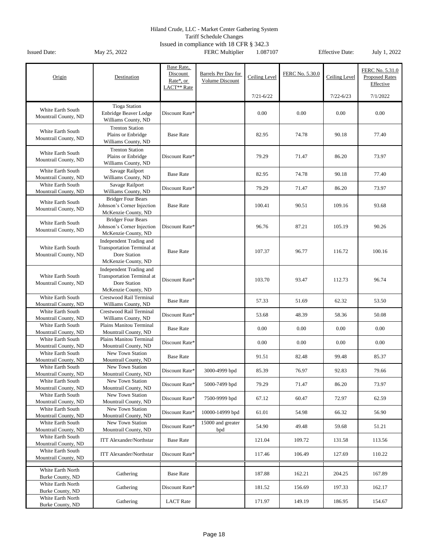Tariff Schedule Changes

| Origin                                    | Destination                                                  | Base Rate,<br>Discount<br>Rate*, or<br>LACT** Rate | Barrels Per Day for<br>Volume Discount | Ceiling Level | FERC No. 5.30.0 | Ceiling Level | FERC No. 5.31.0<br><b>Proposed Rates</b><br>Effective |
|-------------------------------------------|--------------------------------------------------------------|----------------------------------------------------|----------------------------------------|---------------|-----------------|---------------|-------------------------------------------------------|
|                                           |                                                              |                                                    |                                        | $7/21 - 6/22$ |                 | $7/22 - 6/23$ | 7/1/2022                                              |
|                                           | <b>Tioga Station</b>                                         |                                                    |                                        |               |                 |               |                                                       |
| White Earth South<br>Mountrail County, ND | Enbridge Beaver Lodge                                        | Discount Rate*                                     |                                        | 0.00          | 0.00            | 0.00          | 0.00                                                  |
|                                           | Williams County, ND                                          |                                                    |                                        |               |                 |               |                                                       |
| White Earth South                         | <b>Trenton Station</b>                                       |                                                    |                                        |               |                 |               |                                                       |
| Mountrail County, ND                      | Plains or Enbridge<br>Williams County, ND                    | <b>Base Rate</b>                                   |                                        | 82.95         | 74.78           | 90.18         | 77.40                                                 |
|                                           | <b>Trenton Station</b>                                       |                                                    |                                        |               |                 |               |                                                       |
| White Earth South                         | Plains or Enbridge                                           | Discount Rate*                                     |                                        | 79.29         | 71.47           | 86.20         | 73.97                                                 |
| Mountrail County, ND                      | Williams County, ND                                          |                                                    |                                        |               |                 |               |                                                       |
| White Earth South                         | Savage Railport                                              |                                                    |                                        |               |                 |               |                                                       |
| Mountrail County, ND                      | Williams County, ND                                          | <b>Base Rate</b>                                   |                                        | 82.95         | 74.78           | 90.18         | 77.40                                                 |
| White Earth South                         | Savage Railport                                              | Discount Rate*                                     |                                        | 79.29         | 71.47           | 86.20         | 73.97                                                 |
| Mountrail County, ND                      | Williams County, ND                                          |                                                    |                                        |               |                 |               |                                                       |
| White Earth South                         | <b>Bridger Four Bears</b>                                    |                                                    |                                        |               |                 |               |                                                       |
| Mountrail County, ND                      | Johnson's Corner Injection<br>McKenzie County, ND            | <b>Base Rate</b>                                   |                                        | 100.41        | 90.51           | 109.16        | 93.68                                                 |
|                                           | <b>Bridger Four Bears</b>                                    |                                                    |                                        |               |                 |               |                                                       |
| White Earth South                         | Johnson's Corner Injection                                   | Discount Rate*                                     |                                        | 96.76         | 87.21           | 105.19        | 90.26                                                 |
| Mountrail County, ND                      | McKenzie County, ND                                          |                                                    |                                        |               |                 |               |                                                       |
|                                           | Independent Trading and                                      |                                                    |                                        |               |                 |               |                                                       |
| White Earth South                         | <b>Transportation Terminal at</b>                            | <b>Base Rate</b>                                   |                                        | 107.37        | 96.77           | 116.72        | 100.16                                                |
| Mountrail County, ND                      | Dore Station                                                 |                                                    |                                        |               |                 |               |                                                       |
|                                           | McKenzie County, ND                                          |                                                    |                                        |               |                 |               |                                                       |
| White Earth South                         | Independent Trading and<br><b>Transportation Terminal at</b> |                                                    |                                        |               |                 |               |                                                       |
| Mountrail County, ND                      | Dore Station                                                 | Discount Rate*                                     |                                        | 103.70        | 93.47           | 112.73        | 96.74                                                 |
|                                           | McKenzie County, ND                                          |                                                    |                                        |               |                 |               |                                                       |
| White Earth South                         | Crestwood Rail Terminal                                      | <b>Base Rate</b>                                   |                                        | 57.33         |                 | 62.32         | 53.50                                                 |
| Mountrail County, ND                      | Williams County, ND                                          |                                                    |                                        |               | 51.69           |               |                                                       |
| White Earth South                         | Crestwood Rail Terminal                                      | Discount Rate*                                     |                                        | 53.68         | 48.39           | 58.36         | 50.08                                                 |
| Mountrail County, ND<br>White Earth South | Williams County, ND<br>Plains Manitou Terminal               |                                                    |                                        |               |                 |               |                                                       |
| Mountrail County, ND                      | Mountrail County, ND                                         | <b>Base Rate</b>                                   |                                        | 0.00          | 0.00            | 0.00          | 0.00                                                  |
| White Earth South                         | Plains Manitou Terminal                                      |                                                    |                                        |               |                 |               |                                                       |
| Mountrail County, ND                      | Mountrail County, ND                                         | Discount Rate*                                     |                                        | 0.00          | 0.00            | 0.00          | 0.00                                                  |
| White Earth South                         | New Town Station                                             | <b>Base Rate</b>                                   |                                        | 91.51         | 82.48           | 99.48         | 85.37                                                 |
| Mountrail County, ND                      | Mountrail County, ND                                         |                                                    |                                        |               |                 |               |                                                       |
| White Earth South<br>Mountrail County, ND | New Town Station<br>Mountrail County, ND                     | Discount Rate*                                     | 3000-4999 bpd                          | 85.39         | 76.97           | 92.83         | 79.66                                                 |
| White Earth South                         | New Town Station                                             |                                                    |                                        |               |                 |               |                                                       |
| Mountrail County, ND                      | Mountrail County, ND                                         | Discount Rate*                                     | 5000-7499 bpd                          | 79.29         | 71.47           | 86.20         | 73.97                                                 |
| White Earth South                         | New Town Station                                             | Discount Rate*                                     | 7500-9999 bpd                          | 67.12         | 60.47           | 72.97         | 62.59                                                 |
| Mountrail County, ND                      | Mountrail County, ND                                         |                                                    |                                        |               |                 |               |                                                       |
| White Earth South<br>Mountrail County, ND | New Town Station<br>Mountrail County, ND                     | Discount Rate*                                     | 10000-14999 bpd                        | 61.01         | 54.98           | 66.32         | 56.90                                                 |
| White Earth South                         | New Town Station                                             |                                                    | 15000 and greater                      |               |                 |               |                                                       |
| Mountrail County, ND                      | Mountrail County, ND                                         | Discount Rate*                                     | bpd                                    | 54.90         | 49.48           | 59.68         | 51.21                                                 |
| White Earth South                         | <b>ITT Alexander/Northstar</b>                               | <b>Base Rate</b>                                   |                                        | 121.04        | 109.72          | 131.58        | 113.56                                                |
| Mountrail County, ND                      |                                                              |                                                    |                                        |               |                 |               |                                                       |
| White Earth South                         | <b>ITT Alexander/Northstar</b>                               | Discount Rate*                                     |                                        | 117.46        | 106.49          | 127.69        | 110.22                                                |
| Mountrail County, ND                      |                                                              |                                                    |                                        |               |                 |               |                                                       |
| White Earth North                         | Gathering                                                    | <b>Base Rate</b>                                   |                                        | 187.88        | 162.21          | 204.25        | 167.89                                                |
| Burke County, ND                          |                                                              |                                                    |                                        |               |                 |               |                                                       |
| White Earth North                         | Gathering                                                    | Discount Rate*                                     |                                        | 181.52        | 156.69          | 197.33        | 162.17                                                |
| Burke County, ND<br>White Earth North     |                                                              |                                                    |                                        |               |                 |               |                                                       |
| Burke County, ND                          | Gathering                                                    | <b>LACT</b> Rate                                   |                                        | 171.97        | 149.19          | 186.95        | 154.67                                                |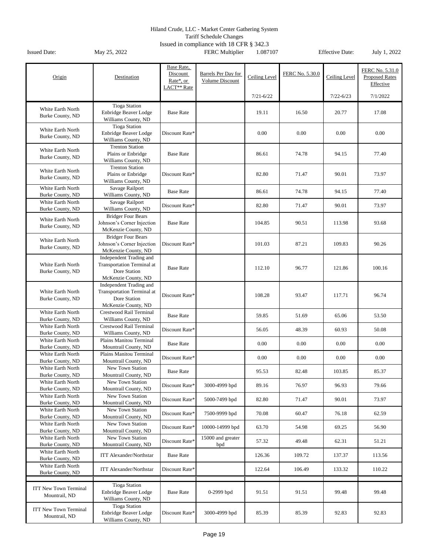Tariff Schedule Changes

|                                       |                                                       | Base Rate,<br>Discount | Barrels Per Day for |               | FERC No. 5.30.0 |               | FERC No. 5.31.0       |
|---------------------------------------|-------------------------------------------------------|------------------------|---------------------|---------------|-----------------|---------------|-----------------------|
| Origin                                | Destination                                           | Rate*, or              | Volume Discount     | Ceiling Level |                 | Ceiling Level | <b>Proposed Rates</b> |
|                                       |                                                       | LACT** Rate            |                     |               |                 |               | Effective             |
|                                       |                                                       |                        |                     | $7/21 - 6/22$ |                 | $7/22 - 6/23$ | 7/1/2022              |
|                                       | <b>Tioga Station</b>                                  |                        |                     |               |                 |               |                       |
| White Earth North                     | Enbridge Beaver Lodge                                 | <b>Base Rate</b>       |                     | 19.11         | 16.50           | 20.77         | 17.08                 |
| Burke County, ND                      | Williams County, ND                                   |                        |                     |               |                 |               |                       |
|                                       | <b>Tioga Station</b>                                  |                        |                     |               |                 |               |                       |
| White Earth North                     | Enbridge Beaver Lodge                                 | Discount Rate*         |                     | 0.00          | 0.00            | 0.00          | 0.00                  |
| Burke County, ND                      | Williams County, ND                                   |                        |                     |               |                 |               |                       |
| White Earth North                     | <b>Trenton Station</b>                                |                        |                     |               |                 |               |                       |
| Burke County, ND                      | Plains or Enbridge                                    | <b>Base Rate</b>       |                     | 86.61         | 74.78           | 94.15         | 77.40                 |
|                                       | Williams County, ND                                   |                        |                     |               |                 |               |                       |
| White Earth North                     | <b>Trenton Station</b>                                |                        |                     |               |                 |               |                       |
| Burke County, ND                      | Plains or Enbridge                                    | Discount Rate*         |                     | 82.80         | 71.47           | 90.01         | 73.97                 |
|                                       | Williams County, ND                                   |                        |                     |               |                 |               |                       |
| White Earth North<br>Burke County, ND | Savage Railport<br>Williams County, ND                | <b>Base Rate</b>       |                     | 86.61         | 74.78           | 94.15         | 77.40                 |
| White Earth North                     | Savage Railport                                       |                        |                     |               |                 |               |                       |
| Burke County, ND                      | Williams County, ND                                   | Discount Rate*         |                     | 82.80         | 71.47           | 90.01         | 73.97                 |
|                                       | <b>Bridger Four Bears</b>                             |                        |                     |               |                 |               |                       |
| White Earth North                     | Johnson's Corner Injection                            | <b>Base Rate</b>       |                     | 104.85        | 90.51           | 113.98        | 93.68                 |
| Burke County, ND                      | McKenzie County, ND                                   |                        |                     |               |                 |               |                       |
|                                       | <b>Bridger Four Bears</b>                             |                        |                     |               |                 |               |                       |
| White Earth North<br>Burke County, ND | Johnson's Corner Injection                            | Discount Rate*         |                     | 101.03        | 87.21           | 109.83        | 90.26                 |
|                                       | McKenzie County, ND                                   |                        |                     |               |                 |               |                       |
|                                       | Independent Trading and                               |                        |                     |               |                 |               |                       |
| White Earth North                     | <b>Transportation Terminal at</b>                     | <b>Base Rate</b>       |                     | 112.10        | 96.77           | 121.86        | 100.16                |
| Burke County, ND                      | Dore Station                                          |                        |                     |               |                 |               |                       |
|                                       | McKenzie County, ND                                   |                        |                     |               |                 |               |                       |
| White Earth North                     | Independent Trading and<br>Transportation Terminal at |                        |                     |               |                 |               |                       |
| Burke County, ND                      | Dore Station                                          | Discount Rate*         |                     | 108.28        | 93.47           | 117.71        | 96.74                 |
|                                       | McKenzie County, ND                                   |                        |                     |               |                 |               |                       |
| White Earth North                     | Crestwood Rail Terminal                               |                        |                     |               |                 |               |                       |
| Burke County, ND                      | Williams County, ND                                   | <b>Base Rate</b>       |                     | 59.85         | 51.69           | 65.06         | 53.50                 |
| White Earth North                     | Crestwood Rail Terminal                               | Discount Rate*         |                     | 56.05         | 48.39           | 60.93         | 50.08                 |
| Burke County, ND                      | Williams County, ND                                   |                        |                     |               |                 |               |                       |
| White Earth North                     | Plains Manitou Terminal                               | <b>Base Rate</b>       |                     | 0.00          | 0.00            | 0.00          | 0.00                  |
| Burke County, ND                      | Mountrail County, ND                                  |                        |                     |               |                 |               |                       |
| White Earth North                     | Plains Manitou Terminal                               | Discount Rate*         |                     | 0.00          | 0.00            | 0.00          | 0.00                  |
| Burke County, ND                      | Mountrail County, ND                                  |                        |                     |               |                 |               |                       |
| White Earth North<br>Burke County, ND | New Town Station<br>Mountrail County, ND              | <b>Base Rate</b>       |                     | 95.53         | 82.48           | 103.85        | 85.37                 |
| White Earth North                     | New Town Station                                      |                        |                     |               |                 |               |                       |
| Burke County, ND                      | Mountrail County, ND                                  | Discount Rate*         | 3000-4999 bpd       | 89.16         | 76.97           | 96.93         | 79.66                 |
| White Earth North                     | New Town Station                                      |                        |                     |               |                 |               |                       |
| Burke County, ND                      | Mountrail County, ND                                  | Discount Rate*         | 5000-7499 bpd       | 82.80         | 71.47           | 90.01         | 73.97                 |
| White Earth North                     | New Town Station                                      |                        |                     |               |                 |               |                       |
| Burke County, ND                      | Mountrail County, ND                                  | Discount Rate*         | 7500-9999 bpd       | 70.08         | 60.47           | 76.18         | 62.59                 |
| White Earth North                     | New Town Station                                      | Discount Rate*         | 10000-14999 bpd     | 63.70         | 54.98           | 69.25         | 56.90                 |
| Burke County, ND                      | Mountrail County, ND                                  |                        |                     |               |                 |               |                       |
| White Earth North                     | New Town Station                                      | Discount Rate*         | 15000 and greater   | 57.32         | 49.48           | 62.31         | 51.21                 |
| Burke County, ND                      | Mountrail County, ND                                  |                        | bpd                 |               |                 |               |                       |
| White Earth North                     | <b>ITT Alexander/Northstar</b>                        | <b>Base Rate</b>       |                     | 126.36        | 109.72          | 137.37        | 113.56                |
| Burke County, ND<br>White Earth North |                                                       |                        |                     |               |                 |               |                       |
| Burke County, ND                      | <b>ITT Alexander/Northstar</b>                        | Discount Rate*         |                     | 122.64        | 106.49          | 133.32        | 110.22                |
|                                       |                                                       |                        |                     |               |                 |               |                       |
| <b>ITT New Town Terminal</b>          | <b>Tioga Station</b>                                  |                        |                     |               |                 |               |                       |
| Mountrail, ND                         | Enbridge Beaver Lodge                                 | <b>Base Rate</b>       | 0-2999 bpd          | 91.51         | 91.51           | 99.48         | 99.48                 |
|                                       | Williams County, ND                                   |                        |                     |               |                 |               |                       |
| <b>ITT New Town Terminal</b>          | <b>Tioga Station</b>                                  |                        |                     |               |                 |               |                       |
| Mountrail, ND                         | Enbridge Beaver Lodge                                 | Discount Rate*         | 3000-4999 bpd       | 85.39         | 85.39           | 92.83         | 92.83                 |
|                                       | Williams County, ND                                   |                        |                     |               |                 |               |                       |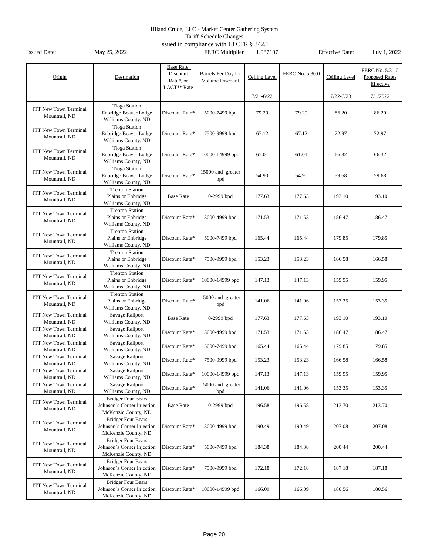Tariff Schedule Changes

|                                               |                                                                                | Base Rate,                                       |                                        |               |                 |               |                                                       |
|-----------------------------------------------|--------------------------------------------------------------------------------|--------------------------------------------------|----------------------------------------|---------------|-----------------|---------------|-------------------------------------------------------|
| Origin                                        | Destination                                                                    | Discount<br>Rate*, or<br>LACT <sup>**</sup> Rate | Barrels Per Day for<br>Volume Discount | Ceiling Level | FERC No. 5.30.0 | Ceiling Level | FERC No. 5.31.0<br><b>Proposed Rates</b><br>Effective |
|                                               |                                                                                |                                                  |                                        | $7/21 - 6/22$ |                 | $7/22 - 6/23$ | 7/1/2022                                              |
|                                               | <b>Tioga Station</b>                                                           |                                                  |                                        |               |                 |               |                                                       |
| <b>ITT New Town Terminal</b><br>Mountrail, ND | Enbridge Beaver Lodge<br>Williams County, ND                                   | Discount Rate*                                   | 5000-7499 bpd                          | 79.29         | 79.29           | 86.20         | 86.20                                                 |
| <b>ITT New Town Terminal</b><br>Mountrail, ND | <b>Tioga Station</b><br>Enbridge Beaver Lodge<br>Williams County, ND           | Discount Rate*                                   | 7500-9999 bpd                          | 67.12         | 67.12           | 72.97         | 72.97                                                 |
| <b>ITT New Town Terminal</b><br>Mountrail, ND | <b>Tioga Station</b><br>Enbridge Beaver Lodge<br>Williams County, ND           | Discount Rate*                                   | 10000-14999 bpd                        | 61.01         | 61.01           | 66.32         | 66.32                                                 |
| <b>ITT New Town Terminal</b><br>Mountrail, ND | <b>Tioga Station</b><br>Enbridge Beaver Lodge<br>Williams County, ND           | Discount Rate*                                   | 15000 and greater<br>bpd               | 54.90         | 54.90           | 59.68         | 59.68                                                 |
| <b>ITT New Town Terminal</b><br>Mountrail, ND | <b>Trenton Station</b><br>Plains or Enbridge<br>Williams County, ND            | <b>Base Rate</b>                                 | $0-2999$ bpd                           | 177.63        | 177.63          | 193.10        | 193.10                                                |
| <b>ITT New Town Terminal</b><br>Mountrail, ND | <b>Trenton Station</b><br>Plains or Enbridge<br>Williams County, ND            | Discount Rate*                                   | 3000-4999 bpd                          | 171.53        | 171.53          | 186.47        | 186.47                                                |
| <b>ITT New Town Terminal</b><br>Mountrail, ND | <b>Trenton Station</b><br>Plains or Enbridge<br>Williams County, ND            | Discount Rate*                                   | 5000-7499 bpd                          | 165.44        | 165.44          | 179.85        | 179.85                                                |
| <b>ITT New Town Terminal</b><br>Mountrail, ND | <b>Trenton Station</b><br>Plains or Enbridge<br>Williams County, ND            | Discount Rate*                                   | 7500-9999 bpd                          | 153.23        | 153.23          | 166.58        | 166.58                                                |
| <b>ITT New Town Terminal</b><br>Mountrail, ND | <b>Trenton Station</b><br>Plains or Enbridge<br>Williams County, ND            | Discount Rate*                                   | 10000-14999 bpd                        | 147.13        | 147.13          | 159.95        | 159.95                                                |
| <b>ITT New Town Terminal</b><br>Mountrail, ND | <b>Trenton Station</b><br>Plains or Enbridge<br>Williams County, ND            | Discount Rate*                                   | 15000 and greater<br>bpd               | 141.06        | 141.06          | 153.35        | 153.35                                                |
| <b>ITT New Town Terminal</b><br>Mountrail, ND | Savage Railport<br>Williams County, ND                                         | <b>Base Rate</b>                                 | $0-2999$ bpd                           | 177.63        | 177.63          | 193.10        | 193.10                                                |
| <b>ITT New Town Terminal</b><br>Mountrail, ND | Savage Railport<br>Williams County, ND                                         | Discount Rate*                                   | 3000-4999 bpd                          | 171.53        | 171.53          | 186.47        | 186.47                                                |
| <b>ITT New Town Terminal</b><br>Mountrail, ND | Savage Railport<br>Williams County, ND                                         | Discount Rate*                                   | 5000-7499 bpd                          | 165.44        | 165.44          | 179.85        | 179.85                                                |
| <b>ITT New Town Terminal</b><br>Mountrail, ND | Savage Railport<br>Williams County, ND                                         | Discount Rate*                                   | 7500-9999 bpd                          | 153.23        | 153.23          | 166.58        | 166.58                                                |
| <b>ITT New Town Terminal</b><br>Mountrail, ND | Savage Railport<br>Williams County, ND                                         | Discount Rate <sup>*</sup>                       | 10000-14999 bpd                        | 147.13        | 147.13          | 159.95        | 159.95                                                |
| <b>ITT New Town Terminal</b><br>Mountrail, ND | Savage Railport<br>Williams County, ND                                         | Discount Rate*                                   | 15000 and greater<br>bpd               | 141.06        | 141.06          | 153.35        | 153.35                                                |
| <b>ITT New Town Terminal</b><br>Mountrail, ND | <b>Bridger Four Bears</b><br>Johnson's Corner Injection<br>McKenzie County, ND | <b>Base Rate</b>                                 | $0-2999$ bpd                           | 196.58        | 196.58          | 213.70        | 213.70                                                |
| <b>ITT New Town Terminal</b><br>Mountrail, ND | <b>Bridger Four Bears</b><br>Johnson's Corner Injection<br>McKenzie County, ND | Discount Rate*                                   | 3000-4999 bpd                          | 190.49        | 190.49          | 207.08        | 207.08                                                |
| <b>ITT New Town Terminal</b><br>Mountrail, ND | <b>Bridger Four Bears</b><br>Johnson's Corner Injection<br>McKenzie County, ND | Discount Rate*                                   | 5000-7499 bpd                          | 184.38        | 184.38          | 200.44        | 200.44                                                |
| <b>ITT New Town Terminal</b><br>Mountrail, ND | <b>Bridger Four Bears</b><br>Johnson's Corner Injection<br>McKenzie County, ND | Discount Rate*                                   | 7500-9999 bpd                          | 172.18        | 172.18          | 187.18        | 187.18                                                |
| <b>ITT New Town Terminal</b><br>Mountrail, ND | <b>Bridger Four Bears</b><br>Johnson's Corner Injection<br>McKenzie County, ND | Discount Rate*                                   | 10000-14999 bpd                        | 166.09        | 166.09          | 180.56        | 180.56                                                |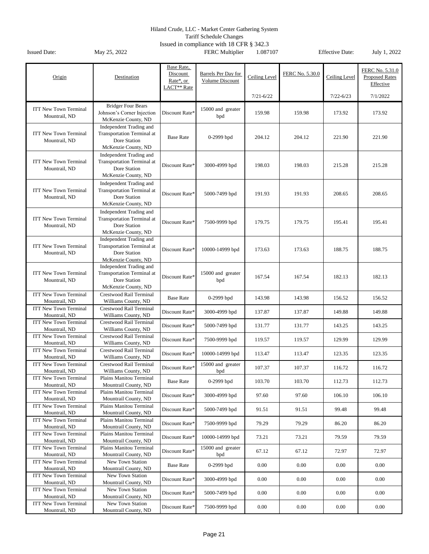Tariff Schedule Changes

| Origin                                                         | Destination                                                                                         | Base Rate,<br>Discount<br>Rate*, or<br>LACT** Rate | Barrels Per Day for<br>Volume Discount | Ceiling Level | FERC No. 5.30.0 | Ceiling Level | FERC No. 5.31.0<br><b>Proposed Rates</b><br>Effective |
|----------------------------------------------------------------|-----------------------------------------------------------------------------------------------------|----------------------------------------------------|----------------------------------------|---------------|-----------------|---------------|-------------------------------------------------------|
|                                                                |                                                                                                     |                                                    |                                        | $7/21 - 6/22$ |                 | $7/22 - 6/23$ | 7/1/2022                                              |
| <b>ITT New Town Terminal</b><br>Mountrail, ND                  | <b>Bridger Four Bears</b><br>Johnson's Corner Injection<br>McKenzie County, ND                      | Discount Rate*                                     | 15000 and greater<br>bpd               | 159.98        | 159.98          | 173.92        | 173.92                                                |
| <b>ITT New Town Terminal</b><br>Mountrail, ND                  | Independent Trading and<br><b>Transportation Terminal at</b><br>Dore Station<br>McKenzie County, ND | <b>Base Rate</b>                                   | 0-2999 bpd                             | 204.12        | 204.12          | 221.90        | 221.90                                                |
| <b>ITT New Town Terminal</b><br>Mountrail, ND                  | Independent Trading and<br><b>Transportation Terminal at</b><br>Dore Station<br>McKenzie County, ND | Discount Rate*                                     | 3000-4999 bpd                          | 198.03        | 198.03          | 215.28        | 215.28                                                |
| <b>ITT New Town Terminal</b><br>Mountrail, ND                  | Independent Trading and<br>Transportation Terminal at<br>Dore Station<br>McKenzie County, ND        | Discount Rate*                                     | 5000-7499 bpd                          | 191.93        | 191.93          | 208.65        | 208.65                                                |
| <b>ITT New Town Terminal</b><br>Mountrail, ND                  | Independent Trading and<br><b>Transportation Terminal at</b><br>Dore Station<br>McKenzie County, ND | Discount Rate*                                     | 7500-9999 bpd                          | 179.75        | 179.75          | 195.41        | 195.41                                                |
| <b>ITT New Town Terminal</b><br>Mountrail, ND                  | Independent Trading and<br><b>Transportation Terminal at</b><br>Dore Station<br>McKenzie County, ND | Discount Rate*                                     | 10000-14999 bpd                        | 173.63        | 173.63          | 188.75        | 188.75                                                |
| <b>ITT New Town Terminal</b><br>Mountrail, ND                  | Independent Trading and<br><b>Transportation Terminal at</b><br>Dore Station<br>McKenzie County, ND | Discount Rate*                                     | 15000 and greater<br>bpd               | 167.54        | 167.54          | 182.13        | 182.13                                                |
| <b>ITT New Town Terminal</b><br>Mountrail, ND                  | Crestwood Rail Terminal<br>Williams County, ND                                                      | <b>Base Rate</b>                                   | 0-2999 bpd                             | 143.98        | 143.98          | 156.52        | 156.52                                                |
| <b>ITT New Town Terminal</b><br>Mountrail, ND                  | Crestwood Rail Terminal<br>Williams County, ND                                                      | Discount Rate*                                     | 3000-4999 bpd                          | 137.87        | 137.87          | 149.88        | 149.88                                                |
| <b>ITT New Town Terminal</b><br>Mountrail, ND                  | Crestwood Rail Terminal<br>Williams County, ND                                                      | Discount Rate*                                     | 5000-7499 bpd                          | 131.77        | 131.77          | 143.25        | 143.25                                                |
| <b>ITT New Town Terminal</b><br>Mountrail, ND                  | Crestwood Rail Terminal<br>Williams County, ND                                                      | Discount Rate*                                     | 7500-9999 bpd                          | 119.57        | 119.57          | 129.99        | 129.99                                                |
| <b>ITT New Town Terminal</b><br>Mountrail, ND                  | Crestwood Rail Terminal<br>Williams County, ND                                                      | Discount Rate*                                     | 10000-14999 bpd                        | 113.47        | 113.47          | 123.35        | 123.35                                                |
| <b>ITT New Town Terminal</b><br>Mountrail, ND                  | Crestwood Rail Terminal<br>Williams County, ND                                                      | Discount Rate*                                     | 15000 and greater<br>bpd               | 107.37        | 107.37          | 116.72        | 116.72                                                |
| <b>ITT New Town Terminal</b><br>Mountrail, ND                  | Plains Manitou Terminal<br>Mountrail County, ND                                                     | <b>Base Rate</b>                                   | 0-2999 bpd                             | 103.70        | 103.70          | 112.73        | 112.73                                                |
| <b>ITT New Town Terminal</b><br>Mountrail, ND                  | Plains Manitou Terminal<br>Mountrail County, ND                                                     | Discount Rate*                                     | 3000-4999 bpd                          | 97.60         | 97.60           | 106.10        | 106.10                                                |
| <b>ITT New Town Terminal</b><br>Mountrail, ND                  | Plains Manitou Terminal<br>Mountrail County, ND                                                     | Discount Rate*                                     | 5000-7499 bpd                          | 91.51         | 91.51           | 99.48         | 99.48                                                 |
| <b>ITT New Town Terminal</b><br>Mountrail, ND                  | Plains Manitou Terminal<br>Mountrail County, ND                                                     | Discount Rate*                                     | 7500-9999 bpd                          | 79.29         | 79.29           | 86.20         | 86.20                                                 |
| <b>ITT New Town Terminal</b><br>Mountrail, ND                  | Plains Manitou Terminal<br>Mountrail County, ND                                                     | Discount Rate*                                     | 10000-14999 bpd                        | 73.21         | 73.21           | 79.59         | 79.59                                                 |
| <b>ITT New Town Terminal</b><br>Mountrail, ND                  | Plains Manitou Terminal<br>Mountrail County, ND                                                     | Discount Rate*                                     | 15000 and greater                      | 67.12         | 67.12           | 72.97         | 72.97                                                 |
| <b>ITT New Town Terminal</b><br>Mountrail, ND                  | New Town Station<br>Mountrail County, ND                                                            | <b>Base Rate</b>                                   | bpd<br>0-2999 bpd                      | 0.00          | 0.00            | 0.00          | 0.00                                                  |
| <b>ITT New Town Terminal</b><br>Mountrail, ND                  | New Town Station<br>Mountrail County, ND                                                            | Discount Rate*                                     | 3000-4999 bpd                          | 0.00          | 0.00            | 0.00          | 0.00                                                  |
| <b>ITT New Town Terminal</b>                                   | New Town Station                                                                                    | Discount Rate*                                     | 5000-7499 bpd                          | 0.00          | 0.00            | 0.00          | 0.00                                                  |
| Mountrail, ND<br><b>ITT New Town Terminal</b><br>Mountrail, ND | Mountrail County, ND<br>New Town Station<br>Mountrail County, ND                                    | Discount Rate*                                     | 7500-9999 bpd                          | 0.00          | $0.00\,$        | 0.00          | 0.00                                                  |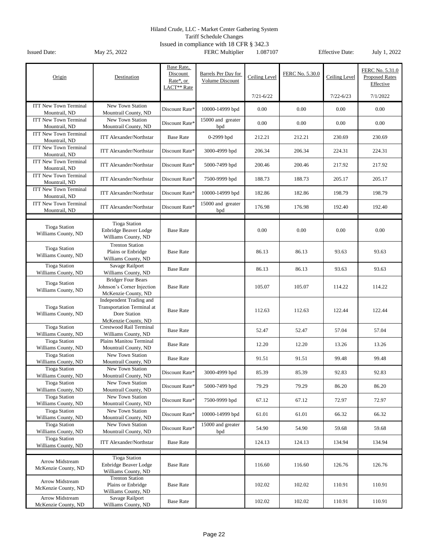Tariff Schedule Changes

| Origin                                        | Destination                                                                                         | Base Rate,<br>Discount<br>Rate*, or<br>LACT <sup>**</sup> Rate | Barrels Per Day for<br>Volume Discount | Ceiling Level | FERC No. 5.30.0 | Ceiling Level | FERC No. 5.31.0<br><b>Proposed Rates</b><br>Effective |
|-----------------------------------------------|-----------------------------------------------------------------------------------------------------|----------------------------------------------------------------|----------------------------------------|---------------|-----------------|---------------|-------------------------------------------------------|
|                                               |                                                                                                     |                                                                |                                        | $7/21 - 6/22$ |                 | $7/22 - 6/23$ | 7/1/2022                                              |
| <b>ITT New Town Terminal</b><br>Mountrail, ND | New Town Station<br>Mountrail County, ND                                                            | Discount Rate*                                                 | 10000-14999 bpd                        | 0.00          | 0.00            | 0.00          | 0.00                                                  |
| <b>ITT New Town Terminal</b><br>Mountrail, ND | New Town Station<br>Mountrail County, ND                                                            | Discount Rate*                                                 | 15000 and greater<br>bpd               | 0.00          | 0.00            | 0.00          | 0.00                                                  |
| <b>ITT New Town Terminal</b><br>Mountrail, ND | <b>ITT Alexander/Northstar</b>                                                                      | <b>Base Rate</b>                                               | $0-2999$ bpd                           | 212.21        | 212.21          | 230.69        | 230.69                                                |
| <b>ITT New Town Terminal</b><br>Mountrail, ND | <b>ITT Alexander/Northstar</b>                                                                      | Discount Rate*                                                 | 3000-4999 bpd                          | 206.34        | 206.34          | 224.31        | 224.31                                                |
| <b>ITT New Town Terminal</b><br>Mountrail, ND | <b>ITT Alexander/Northstar</b>                                                                      | Discount Rate*                                                 | 5000-7499 bpd                          | 200.46        | 200.46          | 217.92        | 217.92                                                |
| <b>ITT New Town Terminal</b><br>Mountrail, ND | <b>ITT Alexander/Northstar</b>                                                                      | Discount Rate*                                                 | 7500-9999 bpd                          | 188.73        | 188.73          | 205.17        | 205.17                                                |
| <b>ITT New Town Terminal</b><br>Mountrail, ND | <b>ITT Alexander/Northstar</b>                                                                      | Discount Rate*                                                 | 10000-14999 bpd                        | 182.86        | 182.86          | 198.79        | 198.79                                                |
| <b>ITT New Town Terminal</b><br>Mountrail, ND | <b>ITT Alexander/Northstar</b>                                                                      | Discount Rate*                                                 | 15000 and greater<br>bpd               | 176.98        | 176.98          | 192.40        | 192.40                                                |
| <b>Tioga Station</b><br>Williams County, ND   | <b>Tioga Station</b><br>Enbridge Beaver Lodge<br>Williams County, ND                                | <b>Base Rate</b>                                               |                                        | 0.00          | 0.00            | 0.00          | 0.00                                                  |
| <b>Tioga Station</b><br>Williams County, ND   | <b>Trenton Station</b><br>Plains or Enbridge<br>Williams County, ND                                 | <b>Base Rate</b>                                               |                                        | 86.13         | 86.13           | 93.63         | 93.63                                                 |
| <b>Tioga Station</b><br>Williams County, ND   | Savage Railport<br>Williams County, ND                                                              | <b>Base Rate</b>                                               |                                        | 86.13         | 86.13           | 93.63         | 93.63                                                 |
| <b>Tioga Station</b><br>Williams County, ND   | <b>Bridger Four Bears</b><br>Johnson's Corner Injection<br>McKenzie County, ND                      | <b>Base Rate</b>                                               |                                        | 105.07        | 105.07          | 114.22        | 114.22                                                |
| <b>Tioga Station</b><br>Williams County, ND   | Independent Trading and<br><b>Transportation Terminal at</b><br>Dore Station<br>McKenzie County, ND | <b>Base Rate</b>                                               |                                        | 112.63        | 112.63          | 122.44        | 122.44                                                |
| <b>Tioga Station</b><br>Williams County, ND   | Crestwood Rail Terminal<br>Williams County, ND                                                      | <b>Base Rate</b>                                               |                                        | 52.47         | 52.47           | 57.04         | 57.04                                                 |
| <b>Tioga Station</b><br>Williams County, ND   | Plains Manitou Terminal<br>Mountrail County, ND                                                     | <b>Base Rate</b>                                               |                                        | 12.20         | 12.20           | 13.26         | 13.26                                                 |
| <b>Tioga Station</b><br>Williams County, ND   | New Town Station<br>Mountrail County, ND                                                            | <b>Base Rate</b>                                               |                                        | 91.51         | 91.51           | 99.48         | 99.48                                                 |
| <b>Tioga Station</b><br>Williams County, ND   | New Town Station<br>Mountrail County, ND                                                            | Discount Rate*                                                 | 3000-4999 bpd                          | 85.39         | 85.39           | 92.83         | 92.83                                                 |
| <b>Tioga Station</b><br>Williams County, ND   | New Town Station<br>Mountrail County, ND                                                            | Discount Rate*                                                 | 5000-7499 bpd                          | 79.29         | 79.29           | 86.20         | 86.20                                                 |
| <b>Tioga Station</b><br>Williams County, ND   | New Town Station<br>Mountrail County, ND                                                            | Discount Rate*                                                 | 7500-9999 bpd                          | 67.12         | 67.12           | 72.97         | 72.97                                                 |
| <b>Tioga Station</b><br>Williams County, ND   | New Town Station<br>Mountrail County, ND                                                            | Discount Rate*                                                 | 10000-14999 bpd                        | 61.01         | 61.01           | 66.32         | 66.32                                                 |
| <b>Tioga Station</b><br>Williams County, ND   | New Town Station<br>Mountrail County, ND                                                            | Discount Rate*                                                 | 15000 and greater<br>bpd               | 54.90         | 54.90           | 59.68         | 59.68                                                 |
| <b>Tioga Station</b><br>Williams County, ND   | <b>ITT Alexander/Northstar</b>                                                                      | <b>Base Rate</b>                                               |                                        | 124.13        | 124.13          | 134.94        | 134.94                                                |
| Arrow Midstream<br>McKenzie County, ND        | <b>Tioga Station</b><br>Enbridge Beaver Lodge<br>Williams County, ND                                | <b>Base Rate</b>                                               |                                        | 116.60        | 116.60          | 126.76        | 126.76                                                |
| Arrow Midstream<br>McKenzie County, ND        | <b>Trenton Station</b><br>Plains or Enbridge<br>Williams County, ND                                 | <b>Base Rate</b>                                               |                                        | 102.02        | 102.02          | 110.91        | 110.91                                                |
| Arrow Midstream<br>McKenzie County, ND        | Savage Railport<br>Williams County, ND                                                              | <b>Base Rate</b>                                               |                                        | 102.02        | 102.02          | 110.91        | 110.91                                                |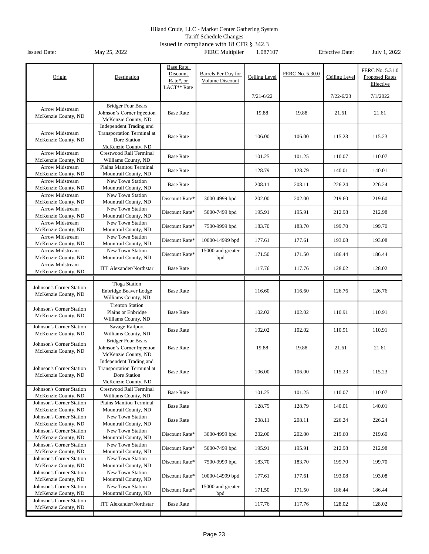Tariff Schedule Changes

| Origin                                                 | Destination                                                                                  | Base Rate,<br>Discount<br>Rate*, or<br>LACT <sup>**</sup> Rate | Barrels Per Day for<br>Volume Discount | Ceiling Level | FERC No. 5.30.0 | Ceiling Level | FERC No. 5.31.0<br><b>Proposed Rates</b><br>Effective |
|--------------------------------------------------------|----------------------------------------------------------------------------------------------|----------------------------------------------------------------|----------------------------------------|---------------|-----------------|---------------|-------------------------------------------------------|
|                                                        |                                                                                              |                                                                |                                        | $7/21 - 6/22$ |                 | $7/22 - 6/23$ | 7/1/2022                                              |
| Arrow Midstream<br>McKenzie County, ND                 | <b>Bridger Four Bears</b><br>Johnson's Corner Injection<br>McKenzie County, ND               | <b>Base Rate</b>                                               |                                        | 19.88         | 19.88           | 21.61         | 21.61                                                 |
| Arrow Midstream<br>McKenzie County, ND                 | Independent Trading and<br>Transportation Terminal at<br>Dore Station<br>McKenzie County, ND | <b>Base Rate</b>                                               |                                        | 106.00        | 106.00          | 115.23        | 115.23                                                |
| Arrow Midstream<br>McKenzie County, ND                 | Crestwood Rail Terminal<br>Williams County, ND                                               | <b>Base Rate</b>                                               |                                        | 101.25        | 101.25          | 110.07        | 110.07                                                |
| <b>Arrow Midstream</b><br>McKenzie County, ND          | Plains Manitou Terminal<br>Mountrail County, ND                                              | <b>Base Rate</b>                                               |                                        | 128.79        | 128.79          | 140.01        | 140.01                                                |
| Arrow Midstream<br>McKenzie County, ND                 | New Town Station<br>Mountrail County, ND                                                     | <b>Base Rate</b>                                               |                                        | 208.11        | 208.11          | 226.24        | 226.24                                                |
| Arrow Midstream<br>McKenzie County, ND                 | New Town Station<br>Mountrail County, ND                                                     | Discount Rate*                                                 | 3000-4999 bpd                          | 202.00        | 202.00          | 219.60        | 219.60                                                |
| Arrow Midstream<br>McKenzie County, ND                 | New Town Station<br>Mountrail County, ND                                                     | Discount Rate*                                                 | 5000-7499 bpd                          | 195.91        | 195.91          | 212.98        | 212.98                                                |
| <b>Arrow Midstream</b><br>McKenzie County, ND          | New Town Station<br>Mountrail County, ND                                                     | Discount Rate*                                                 | 7500-9999 bpd                          | 183.70        | 183.70          | 199.70        | 199.70                                                |
| <b>Arrow Midstream</b><br>McKenzie County, ND          | New Town Station<br>Mountrail County, ND                                                     | Discount Rate*                                                 | 10000-14999 bpd                        | 177.61        | 177.61          | 193.08        | 193.08                                                |
| Arrow Midstream<br>McKenzie County, ND                 | New Town Station<br>Mountrail County, ND                                                     | Discount Rate*                                                 | 15000 and greater<br>bpd               | 171.50        | 171.50          | 186.44        | 186.44                                                |
| Arrow Midstream<br>McKenzie County, ND                 | <b>ITT Alexander/Northstar</b>                                                               | <b>Base Rate</b>                                               |                                        | 117.76        | 117.76          | 128.02        | 128.02                                                |
|                                                        |                                                                                              |                                                                |                                        |               |                 |               |                                                       |
| Johnson's Corner Station<br>McKenzie County, ND        | <b>Tioga Station</b><br>Enbridge Beaver Lodge<br>Williams County, ND                         | <b>Base Rate</b>                                               |                                        | 116.60        | 116.60          | 126.76        | 126.76                                                |
| Johnson's Corner Station<br>McKenzie County, ND        | <b>Trenton Station</b><br>Plains or Enbridge<br>Williams County, ND                          | <b>Base Rate</b>                                               |                                        | 102.02        | 102.02          | 110.91        | 110.91                                                |
| <b>Johnson's Corner Station</b><br>McKenzie County, ND | Savage Railport<br>Williams County, ND                                                       | <b>Base Rate</b>                                               |                                        | 102.02        | 102.02          | 110.91        | 110.91                                                |
| Johnson's Corner Station<br>McKenzie County, ND        | <b>Bridger Four Bears</b><br>Johnson's Corner Injection<br>McKenzie County, ND               | <b>Base Rate</b>                                               |                                        | 19.88         | 19.88           | 21.61         | 21.61                                                 |
| <b>Johnson's Corner Station</b><br>McKenzie County, ND | Independent Trading and<br>Transportation Terminal at<br>Dore Station<br>McKenzie County, ND | <b>Base Rate</b>                                               |                                        | 106.00        | 106.00          | 115.23        | 115.23                                                |
| Johnson's Corner Station<br>McKenzie County, ND        | Crestwood Rail Terminal<br>Williams County, ND                                               | <b>Base Rate</b>                                               |                                        | 101.25        | 101.25          | 110.07        | 110.07                                                |
| Johnson's Corner Station<br>McKenzie County, ND        | Plains Manitou Terminal<br>Mountrail County, ND                                              | <b>Base Rate</b>                                               |                                        | 128.79        | 128.79          | 140.01        | 140.01                                                |
| Johnson's Corner Station<br>McKenzie County, ND        | New Town Station<br>Mountrail County, ND                                                     | <b>Base Rate</b>                                               |                                        | 208.11        | 208.11          | 226.24        | 226.24                                                |
| Johnson's Corner Station<br>McKenzie County, ND        | New Town Station<br>Mountrail County, ND                                                     | Discount Rate*                                                 | 3000-4999 bpd                          | 202.00        | 202.00          | 219.60        | 219.60                                                |
| Johnson's Corner Station<br>McKenzie County, ND        | New Town Station<br>Mountrail County, ND                                                     | Discount Rate*                                                 | 5000-7499 bpd                          | 195.91        | 195.91          | 212.98        | 212.98                                                |
| Johnson's Corner Station<br>McKenzie County, ND        | New Town Station<br>Mountrail County, ND                                                     | Discount Rate*                                                 | 7500-9999 bpd                          | 183.70        | 183.70          | 199.70        | 199.70                                                |
| Johnson's Corner Station<br>McKenzie County, ND        | New Town Station<br>Mountrail County, ND                                                     | Discount Rate*                                                 | 10000-14999 bpd                        | 177.61        | 177.61          | 193.08        | 193.08                                                |
| Johnson's Corner Station<br>McKenzie County, ND        | New Town Station<br>Mountrail County, ND                                                     | Discount Rate*                                                 | 15000 and greater<br>bpd               | 171.50        | 171.50          | 186.44        | 186.44                                                |
| Johnson's Corner Station<br>McKenzie County, ND        | <b>ITT Alexander/Northstar</b>                                                               | <b>Base Rate</b>                                               |                                        | 117.76        | 117.76          | 128.02        | 128.02                                                |
|                                                        |                                                                                              |                                                                |                                        |               |                 |               |                                                       |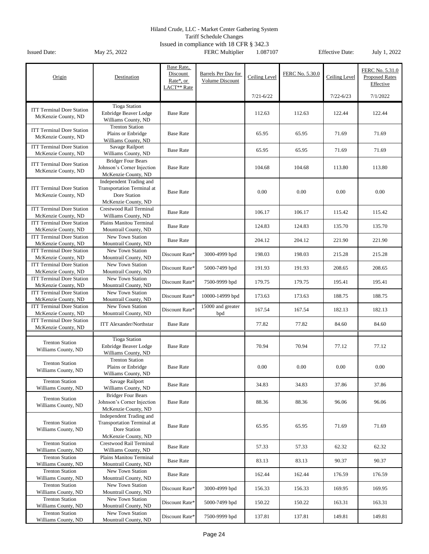Tariff Schedule Changes

|                                                         |                                                  | Base Rate,                           |                     |               |                 |               |                                          |
|---------------------------------------------------------|--------------------------------------------------|--------------------------------------|---------------------|---------------|-----------------|---------------|------------------------------------------|
| Origin                                                  | Destination                                      | Discount                             | Barrels Per Day for | Ceiling Level | FERC No. 5.30.0 | Ceiling Level | FERC No. 5.31.0<br><b>Proposed Rates</b> |
|                                                         |                                                  | Rate*, or<br>LACT <sup>**</sup> Rate | Volume Discount     |               |                 |               | Effective                                |
|                                                         |                                                  |                                      |                     | $7/21 - 6/22$ |                 | $7/22 - 6/23$ | 7/1/2022                                 |
|                                                         |                                                  |                                      |                     |               |                 |               |                                          |
| <b>ITT Terminal Dore Station</b>                        | <b>Tioga Station</b><br>Enbridge Beaver Lodge    | <b>Base Rate</b>                     |                     | 112.63        | 112.63          | 122.44        | 122.44                                   |
| McKenzie County, ND                                     | Williams County, ND                              |                                      |                     |               |                 |               |                                          |
|                                                         | <b>Trenton Station</b>                           |                                      |                     |               |                 |               |                                          |
| <b>ITT Terminal Dore Station</b><br>McKenzie County, ND | Plains or Enbridge                               | <b>Base Rate</b>                     |                     | 65.95         | 65.95           | 71.69         | 71.69                                    |
|                                                         | Williams County, ND                              |                                      |                     |               |                 |               |                                          |
| <b>ITT Terminal Dore Station</b>                        | Savage Railport                                  | <b>Base Rate</b>                     |                     | 65.95         | 65.95           | 71.69         | 71.69                                    |
| McKenzie County, ND                                     | Williams County, ND<br><b>Bridger Four Bears</b> |                                      |                     |               |                 |               |                                          |
| <b>ITT Terminal Dore Station</b>                        | Johnson's Corner Injection                       | <b>Base Rate</b>                     |                     | 104.68        | 104.68          | 113.80        | 113.80                                   |
| McKenzie County, ND                                     | McKenzie County, ND                              |                                      |                     |               |                 |               |                                          |
|                                                         | Independent Trading and                          |                                      |                     |               |                 |               |                                          |
| <b>ITT Terminal Dore Station</b>                        | <b>Transportation Terminal at</b>                |                                      |                     |               |                 |               |                                          |
| McKenzie County, ND                                     | Dore Station                                     | <b>Base Rate</b>                     |                     | 0.00          | 0.00            | 0.00          | 0.00                                     |
|                                                         | McKenzie County, ND                              |                                      |                     |               |                 |               |                                          |
| <b>ITT Terminal Dore Station</b>                        | <b>Crestwood Rail Terminal</b>                   | <b>Base Rate</b>                     |                     | 106.17        | 106.17          | 115.42        | 115.42                                   |
| McKenzie County, ND                                     | Williams County, ND                              |                                      |                     |               |                 |               |                                          |
| <b>ITT Terminal Dore Station</b><br>McKenzie County, ND | Plains Manitou Terminal<br>Mountrail County, ND  | <b>Base Rate</b>                     |                     | 124.83        | 124.83          | 135.70        | 135.70                                   |
| <b>ITT Terminal Dore Station</b>                        | New Town Station                                 |                                      |                     |               |                 |               |                                          |
| McKenzie County, ND                                     | Mountrail County, ND                             | <b>Base Rate</b>                     |                     | 204.12        | 204.12          | 221.90        | 221.90                                   |
| <b>ITT Terminal Dore Station</b>                        | New Town Station                                 | Discount Rate*                       | 3000-4999 bpd       | 198.03        | 198.03          | 215.28        | 215.28                                   |
| McKenzie County, ND                                     | Mountrail County, ND                             |                                      |                     |               |                 |               |                                          |
| <b>ITT Terminal Dore Station</b>                        | New Town Station                                 | Discount Rate*                       | 5000-7499 bpd       | 191.93        | 191.93          | 208.65        | 208.65                                   |
| McKenzie County, ND                                     | Mountrail County, ND                             |                                      |                     |               |                 |               |                                          |
| <b>ITT Terminal Dore Station</b><br>McKenzie County, ND | New Town Station<br>Mountrail County, ND         | Discount Rate*                       | 7500-9999 bpd       | 179.75        | 179.75          | 195.41        | 195.41                                   |
| <b>ITT Terminal Dore Station</b>                        | New Town Station                                 |                                      |                     |               |                 |               |                                          |
| McKenzie County, ND                                     | Mountrail County, ND                             | Discount Rate*                       | 10000-14999 bpd     | 173.63        | 173.63          | 188.75        | 188.75                                   |
| <b>ITT Terminal Dore Station</b>                        | New Town Station                                 |                                      | 15000 and greater   |               |                 |               |                                          |
| McKenzie County, ND                                     | Mountrail County, ND                             | Discount Rate*                       | bpd                 | 167.54        | 167.54          | 182.13        | 182.13                                   |
| <b>ITT Terminal Dore Station</b>                        | <b>ITT Alexander/Northstar</b>                   | <b>Base Rate</b>                     |                     | 77.82         | 77.82           | 84.60         | 84.60                                    |
| McKenzie County, ND                                     |                                                  |                                      |                     |               |                 |               |                                          |
|                                                         | <b>Tioga Station</b>                             |                                      |                     |               |                 |               |                                          |
| <b>Trenton Station</b>                                  | Enbridge Beaver Lodge                            | <b>Base Rate</b>                     |                     | 70.94         | 70.94           | 77.12         | 77.12                                    |
| Williams County, ND                                     | Williams County, ND                              |                                      |                     |               |                 |               |                                          |
| <b>Trenton Station</b>                                  | <b>Trenton Station</b>                           |                                      |                     |               |                 |               |                                          |
| Williams County, ND                                     | Plains or Enbridge                               | <b>Base Rate</b>                     |                     | 0.00          | 0.00            | 0.00          | 0.00                                     |
|                                                         | Williams County, ND                              |                                      |                     |               |                 |               |                                          |
| <b>Trenton Station</b><br>Williams County, ND           | Savage Railport<br>Williams County, ND           | <b>Base Rate</b>                     |                     | 34.83         | 34.83           | 37.86         | 37.86                                    |
|                                                         | <b>Bridger Four Bears</b>                        |                                      |                     |               |                 |               |                                          |
| <b>Trenton Station</b>                                  | Johnson's Corner Injection                       | <b>Base Rate</b>                     |                     | 88.36         | 88.36           | 96.06         | 96.06                                    |
| Williams County, ND                                     | McKenzie County, ND                              |                                      |                     |               |                 |               |                                          |
|                                                         | Independent Trading and                          |                                      |                     |               |                 |               |                                          |
| <b>Trenton Station</b>                                  | Transportation Terminal at                       | <b>Base Rate</b>                     |                     | 65.95         | 65.95           | 71.69         | 71.69                                    |
| Williams County, ND                                     | Dore Station                                     |                                      |                     |               |                 |               |                                          |
| <b>Trenton Station</b>                                  | McKenzie County, ND<br>Crestwood Rail Terminal   |                                      |                     |               |                 |               |                                          |
| Williams County, ND                                     | Williams County, ND                              | <b>Base Rate</b>                     |                     | 57.33         | 57.33           | 62.32         | 62.32                                    |
| <b>Trenton Station</b>                                  | Plains Manitou Terminal                          |                                      |                     |               |                 |               |                                          |
| Williams County, ND                                     | Mountrail County, ND                             | <b>Base Rate</b>                     |                     | 83.13         | 83.13           | 90.37         | 90.37                                    |
| <b>Trenton Station</b>                                  | New Town Station                                 | <b>Base Rate</b>                     |                     | 162.44        | 162.44          | 176.59        | 176.59                                   |
| Williams County, ND                                     | Mountrail County, ND                             |                                      |                     |               |                 |               |                                          |
| <b>Trenton Station</b>                                  | New Town Station                                 | Discount Rate*                       | 3000-4999 bpd       | 156.33        | 156.33          | 169.95        | 169.95                                   |
| Williams County, ND                                     | Mountrail County, ND                             |                                      |                     |               |                 |               |                                          |
| <b>Trenton Station</b><br>Williams County, ND           | New Town Station<br>Mountrail County, ND         | Discount Rate*                       | 5000-7499 bpd       | 150.22        | 150.22          | 163.31        | 163.31                                   |
| <b>Trenton Station</b>                                  | New Town Station                                 |                                      |                     |               |                 |               |                                          |
| Williams County, ND                                     | Mountrail County, ND                             | Discount Rate*                       | 7500-9999 bpd       | 137.81        | 137.81          | 149.81        | 149.81                                   |